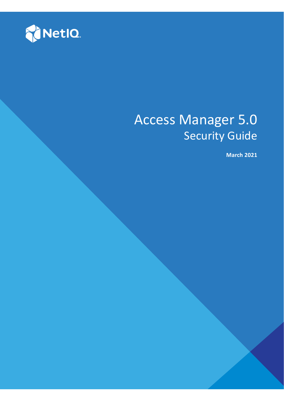

# Access Manager 5.0 Security Guide

**March 2021**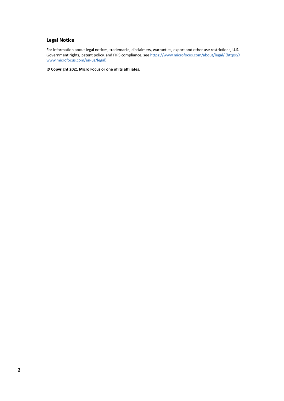#### **Legal Notice**

For information about legal notices, trademarks, disclaimers, warranties, export and other use restrictions, U.S. Government rights, patent policy, and FIPS compliance, see [https://www.microfocus.com/about/legal/](https://www.microfocus.com/en-us/legal) (https:// www.microfocus.com/en-us/legal).

**© Copyright 2021 Micro Focus or one of its affiliates.**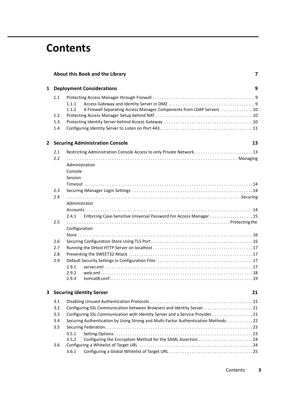## **Contents**

|                                       |     | About this Book and the Library<br>7                                                   |    |  |
|---------------------------------------|-----|----------------------------------------------------------------------------------------|----|--|
| 1                                     |     | <b>Deployment Considerations</b>                                                       | 9  |  |
|                                       | 1.1 | 1.1.1<br>A Firewall Separating Access Manager Components from LDAP Servers 10<br>1.1.2 |    |  |
|                                       | 1.2 |                                                                                        |    |  |
|                                       | 1.3 |                                                                                        |    |  |
|                                       | 1.4 |                                                                                        |    |  |
| 2                                     |     | <b>Securing Administration Console</b>                                                 | 13 |  |
|                                       | 2.1 | Restricting Administration Console Access to only Private Network13                    |    |  |
|                                       | 2.2 | Administration<br>Console                                                              |    |  |
|                                       |     | Session                                                                                |    |  |
|                                       |     |                                                                                        |    |  |
|                                       | 2.3 |                                                                                        |    |  |
|                                       | 2.4 | Administrator                                                                          |    |  |
|                                       |     |                                                                                        |    |  |
|                                       |     | Enforcing Case-Sensitive Universal Password For Access Manager 15<br>2.4.1             |    |  |
|                                       | 2.5 | Configuration                                                                          |    |  |
|                                       |     |                                                                                        |    |  |
|                                       | 2.6 |                                                                                        |    |  |
|                                       | 2.7 |                                                                                        |    |  |
|                                       | 2.8 |                                                                                        |    |  |
|                                       | 2.9 |                                                                                        |    |  |
|                                       |     | 2.9.1                                                                                  |    |  |
|                                       |     | 2.9.2<br>2.9.3<br>tomcat8.config                                                       |    |  |
| <b>Securing Identity Server</b><br>3. |     |                                                                                        | 21 |  |
|                                       | 3.1 |                                                                                        |    |  |
|                                       | 3.2 | Configuring SSL Communication between Browsers and Identity Server21                   |    |  |
|                                       | 3.3 | Configuring SSL Communication with Identity Server and a Service Provider 21           |    |  |
| 3.4                                   |     | Securing Authentication by Using Strong and Multi-Factor Authentication Methods22      |    |  |
|                                       | 3.5 |                                                                                        |    |  |
|                                       |     | 3.5.1                                                                                  |    |  |
|                                       |     | 3.5.2                                                                                  |    |  |
|                                       | 3.6 |                                                                                        |    |  |
|                                       |     | 3.6.1                                                                                  |    |  |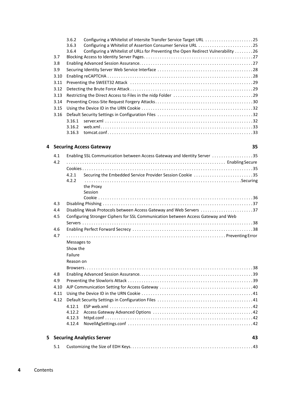|    |      | 3.6.2<br>3.6.3 | Configuring a Whitelist of Intersite Transfer Service Target URL 25<br>Configuring a Whitelist of Assertion Consumer Service URL 25 |    |  |
|----|------|----------------|-------------------------------------------------------------------------------------------------------------------------------------|----|--|
|    |      | 3.6.4          | Configuring a Whitelist of URLs for Preventing the Open Redirect Vulnerability 26                                                   |    |  |
|    | 3.7  |                |                                                                                                                                     |    |  |
|    | 3.8  |                |                                                                                                                                     |    |  |
|    | 3.9  |                |                                                                                                                                     |    |  |
|    | 3.10 |                |                                                                                                                                     |    |  |
|    | 3.11 |                |                                                                                                                                     |    |  |
|    | 3.12 |                |                                                                                                                                     |    |  |
|    | 3.13 |                |                                                                                                                                     |    |  |
|    | 3.14 |                |                                                                                                                                     |    |  |
|    | 3.15 |                |                                                                                                                                     |    |  |
|    | 3.16 |                |                                                                                                                                     |    |  |
|    |      | 3.16.1         |                                                                                                                                     |    |  |
|    |      | 3.16.2         |                                                                                                                                     |    |  |
|    |      | 3.16.3         |                                                                                                                                     |    |  |
| 4  |      |                | <b>Securing Access Gateway</b>                                                                                                      | 35 |  |
|    | 4.1  |                | Enabling SSL Communication between Access Gateway and Identity Server 35                                                            |    |  |
|    | 4.2  |                |                                                                                                                                     |    |  |
|    |      |                |                                                                                                                                     |    |  |
|    |      | 4.2.1          | Securing the Embedded Service Provider Session Cookie 35                                                                            |    |  |
|    |      | 4.2.2          |                                                                                                                                     |    |  |
|    |      |                | the Proxy                                                                                                                           |    |  |
|    |      |                | Session                                                                                                                             |    |  |
|    | 4.3  |                |                                                                                                                                     |    |  |
|    | 4.4  |                | Disabling Weak Protocols between Access Gateway and Web Servers 37                                                                  |    |  |
|    | 4.5  |                | Configuring Stronger Ciphers for SSL Communication between Access Gateway and Web                                                   |    |  |
|    |      |                |                                                                                                                                     |    |  |
|    | 4.6  |                |                                                                                                                                     |    |  |
|    | 4.7  |                |                                                                                                                                     |    |  |
|    |      | Messages to    |                                                                                                                                     |    |  |
|    |      | Show the       |                                                                                                                                     |    |  |
|    |      | Failure        |                                                                                                                                     |    |  |
|    |      | Reason on      |                                                                                                                                     |    |  |
|    |      |                |                                                                                                                                     |    |  |
|    | 4.8  |                |                                                                                                                                     |    |  |
|    | 4.9  |                |                                                                                                                                     |    |  |
|    | 4.10 |                |                                                                                                                                     |    |  |
|    | 4.11 |                |                                                                                                                                     |    |  |
|    | 4.12 |                |                                                                                                                                     |    |  |
|    |      |                |                                                                                                                                     |    |  |
|    |      |                |                                                                                                                                     |    |  |
|    |      | 4.12.3         |                                                                                                                                     |    |  |
|    |      | 4.12.4         |                                                                                                                                     |    |  |
| 5. |      |                | <b>Securing Analytics Server</b>                                                                                                    | 43 |  |
|    |      |                |                                                                                                                                     |    |  |
|    | 5.1  |                |                                                                                                                                     |    |  |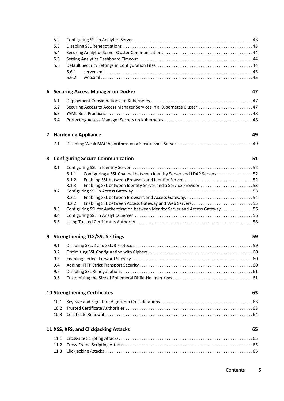|   | 5.2<br>5.3<br>5.4<br>5.5<br>5.6       | 5.6.1<br>5.6.2                                                                                                       |    |
|---|---------------------------------------|----------------------------------------------------------------------------------------------------------------------|----|
| 6 |                                       | <b>Securing Access Manager on Docker</b>                                                                             | 47 |
|   | 6.1                                   |                                                                                                                      |    |
|   | 6.2                                   | Securing Access to Access Manager Services in a Kubernetes Cluster  47                                               |    |
|   | 6.3                                   |                                                                                                                      |    |
|   | 6.4                                   |                                                                                                                      |    |
|   |                                       | <b>7 Hardening Appliance</b>                                                                                         | 49 |
|   | 7.1                                   |                                                                                                                      |    |
| 8 |                                       | <b>Configuring Secure Communication</b>                                                                              | 51 |
|   | 8.1                                   |                                                                                                                      |    |
|   |                                       | Configuring a SSL Channel between Identity Server and LDAP Servers 52<br>8.1.1                                       |    |
|   |                                       | 8.1.2                                                                                                                |    |
|   |                                       | Enabling SSL between Identity Server and a Service Provider 53<br>8.1.3                                              |    |
|   | 8.2                                   | 8.2.1                                                                                                                |    |
|   |                                       | Enabling SSL between Browsers and Access Gateway54<br>8.2.2<br>Enabling SSL between Access Gateway and Web Servers55 |    |
|   | 8.3                                   | Configuring SSL for Authentication between Identity Server and Access Gateway 56                                     |    |
|   | 8.4                                   |                                                                                                                      |    |
|   | 8.5                                   |                                                                                                                      |    |
| 9 | <b>Strengthening TLS/SSL Settings</b> |                                                                                                                      | 59 |
|   | 9.1                                   |                                                                                                                      |    |
|   | 9.2                                   |                                                                                                                      |    |
|   | 9.3                                   |                                                                                                                      |    |
|   | 9.4                                   |                                                                                                                      |    |
|   | 9.5                                   |                                                                                                                      |    |
|   | 9.6                                   |                                                                                                                      |    |
|   |                                       | <b>10 Strengthening Certificates</b>                                                                                 | 63 |
|   | 10.1                                  |                                                                                                                      |    |
|   | 10.2                                  |                                                                                                                      |    |
|   | 10.3                                  |                                                                                                                      |    |
|   |                                       | 11 XSS, XFS, and Clickjacking Attacks                                                                                | 65 |
|   | 11.1                                  |                                                                                                                      |    |
|   | 11.2                                  |                                                                                                                      |    |
|   | 11.3                                  |                                                                                                                      |    |
|   |                                       |                                                                                                                      |    |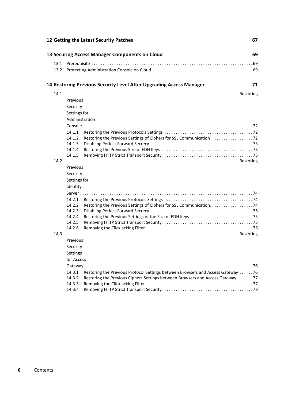| <b>13 Securing Access Manager Components on Cloud</b>                                              | 69 |
|----------------------------------------------------------------------------------------------------|----|
|                                                                                                    |    |
|                                                                                                    |    |
| 14 Restoring Previous Security Level After Upgrading Access Manager                                | 71 |
| 14.1                                                                                               |    |
| Previous                                                                                           |    |
| Security                                                                                           |    |
| Settings for                                                                                       |    |
| Administration                                                                                     |    |
|                                                                                                    |    |
| 14.1.1                                                                                             |    |
| 14.1.2                                                                                             |    |
| 14.1.3                                                                                             |    |
|                                                                                                    |    |
| 14.2                                                                                               |    |
| Previous                                                                                           |    |
| Security                                                                                           |    |
| Settings for                                                                                       |    |
| Identity                                                                                           |    |
|                                                                                                    |    |
| 14.2.1                                                                                             |    |
| 14.2.2                                                                                             |    |
| 14.2.3                                                                                             |    |
| 14.2.4                                                                                             |    |
| 14.2.5                                                                                             |    |
| 14.2.6                                                                                             |    |
| 14.3                                                                                               |    |
| Previous                                                                                           |    |
| Security                                                                                           |    |
| Settings                                                                                           |    |
| for Access                                                                                         |    |
|                                                                                                    |    |
| Restoring the Previous Protocol Settings between Browsers and Access Gateway 76<br>14.3.1          |    |
| 14.3.2<br>Restoring the Previous Ciphers Settings between Browsers and Access Gateway 77<br>14.3.3 |    |
| 14.3.4                                                                                             |    |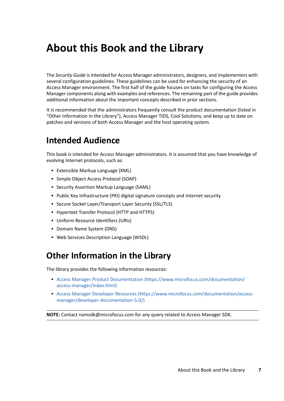# <span id="page-6-0"></span>**About this Book and the Library**

The *Security Guide* is intended for Access Manager administrators, designers, and implementers with several configuration guidelines. These guidelines can be used for enhancing the security of an Access Manager environment. The first half of the guide focuses on tasks for configuring the Access Manager components along with examples and references. The remaining part of the guide provides additional information about the important concepts described in prior sections.

It is recommended that the administrators frequently consult the product documentation (listed in "Other Information in the Library"), Access Manager TIDS, Cool Solutions, and keep up to date on patches and versions of both Access Manager and the host operating system.

## **Intended Audience**

This book is intended for Access Manager administrators. It is assumed that you have knowledge of evolving Internet protocols, such as:

- Extensible Markup Language (XML)
- Simple Object Access Protocol (SOAP)
- Security Assertion Markup Language (SAML)
- Public Key Infrastructure (PKI) digital signature concepts and Internet security
- Secure Socket Layer/Transport Layer Security (SSL/TLS)
- Hypertext Transfer Protocol (HTTP and HTTPS)
- Uniform Resource Identifiers (URIs)
- Domain Name System (DNS)
- Web Services Description Language (WSDL)

## **Other Information in the Library**

The library provides the following information resources:

- [Access Manager Product Documentation](https://www.microfocus.com/documentation/access-manager/index.html) (https://www.microfocus.com/documentation/ access-manager/index.html)
- [Access Manager Developer Resources](https://www.microfocus.com/documentation/access-manager/developer-documentation-5.0/) (https://www.microfocus.com/documentation/accessmanager/developer-documentation-5.0/)

**NOTE:** Contact namsdk@microfocus.com for any query related to Access Manager SDK.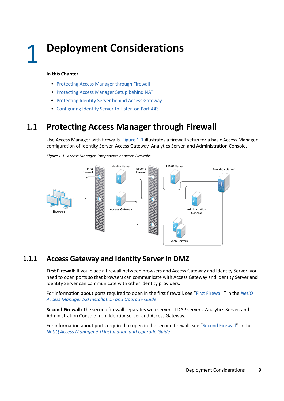#### <span id="page-8-0"></span>**In this Chapter**

- [Protecting Access Manager through Firewall](#page-8-1)
- [Protecting Access Manager Setup behind NAT](#page-9-1)
- [Protecting Identity Server behind Access Gateway](#page-9-2)
- [Configuring Identity Server to Listen on Port 443](#page-10-0)

## <span id="page-8-1"></span>**1.1 Protecting Access Manager through Firewall**

Use Access Manager with firewalls. Figure 1-1 illustrates a firewall setup for a basic Access Manager configuration of Identity Server, Access Gateway, Analytics Server, and Administration Console.





### <span id="page-8-2"></span>**1.1.1 Access Gateway and Identity Server in DMZ**

**First Firewall:** If you place a firewall between browsers and Access Gateway and Identity Server, you need to open ports so that browsers can communicate with Access Gateway and Identity Server and Identity Server can communicate with other identity providers.

For information about ports required to open in the first firewall, see "[First Firewall "](https://www.microfocus.com/documentation/access-manager/5.0/pdfdoc/install_upgrade/install_upgrade.pdf#b651ref) in the *[NetIQ](https://www.microfocus.com/documentation/access-manager/5.0/pdfdoc/install_upgrade/install_upgrade.pdf#bookinfo)  [Access Manager 5.0 Installation and Upgrade Guide](https://www.microfocus.com/documentation/access-manager/5.0/pdfdoc/install_upgrade/install_upgrade.pdf#bookinfo)*.

**Second Firewall:** The second firewall separates web servers, LDAP servers, Analytics Server, and Administration Console from Identity Server and Access Gateway.

For information about ports required to open in the second firewall, see ["Second Firewall"](https://www.microfocus.com/documentation/access-manager/5.0/pdfdoc/install_upgrade/install_upgrade.pdf#b651reg) in the *[NetIQ Access Manager 5.0 Installation and Upgrade Guide](https://www.microfocus.com/documentation/access-manager/5.0/pdfdoc/install_upgrade/install_upgrade.pdf#bookinfo)*.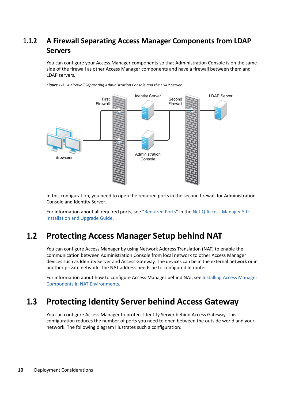## <span id="page-9-0"></span>**1.1.2 A Firewall Separating Access Manager Components from LDAP Servers**

You can configure your Access Manager components so that Administration Console is on the same side of the firewall as other Access Manager components and have a firewall between them and LDAP servers.



*Figure 1-2 A Firewall Separating Administration Console and the LDAP Server*

In this configuration, you need to open the required ports in the second firewall for Administration Console and Identity Server.

For information about all required ports, see "[Required Ports"](https://www.microfocus.com/documentation/access-manager/5.0/pdfdoc/install_upgrade/install_upgrade.pdf#b8j3ld5) in the [NetIQ Access Manager 5.0](https://www.microfocus.com/documentation/access-manager/5.0/pdfdoc/install_upgrade/install_upgrade.pdf#bookinfo)  [Installation and Upgrade Guide.](https://www.microfocus.com/documentation/access-manager/5.0/pdfdoc/install_upgrade/install_upgrade.pdf#bookinfo)

## <span id="page-9-1"></span>**1.2 Protecting Access Manager Setup behind NAT**

You can configure Access Manager by using Network Address Translation (NAT) to enable the communication between Administration Console from local network to other Access Manager devices such as Identity Server and Access Gateway. The devices can be in the external network or in another private network. The NAT address needs be to configured in router.

For information about how to configure Access Manager behind NAT, see [Installing Access Manager](https://www.microfocus.com/documentation/access-manager/5.0/pdfdoc/install_upgrade/install_upgrade.pdf#b13cwcwf)  [Components in NAT Environments.](https://www.microfocus.com/documentation/access-manager/5.0/pdfdoc/install_upgrade/install_upgrade.pdf#b13cwcwf)

## <span id="page-9-2"></span>**1.3 Protecting Identity Server behind Access Gateway**

You can configure Access Manager to protect Identity Server behind Access Gateway. This configuration reduces the number of ports you need to open between the outside world and your network. The following diagram illustrates such a configuration: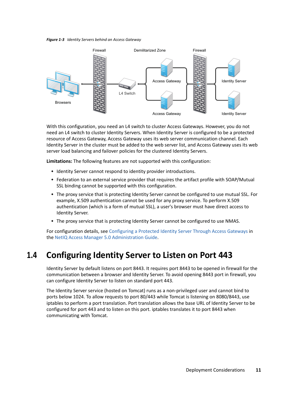



With this configuration, you need an L4 switch to cluster Access Gateways. However, you do not need an L4 switch to cluster Identity Servers. When Identity Server is configured to be a protected resource of Access Gateway, Access Gateway uses its web server communication channel. Each Identity Server in the cluster must be added to the web server list, and Access Gateway uses its web server load balancing and failover policies for the clustered Identity Servers.

**Limitations:** The following features are not supported with this configuration:

- Identity Server cannot respond to identity provider introductions.
- Federation to an external service provider that requires the artifact profile with SOAP/Mutual SSL binding cannot be supported with this configuration.
- The proxy service that is protecting Identity Server cannot be configured to use mutual SSL. For example, X.509 authentication cannot be used for any proxy service. To perform X.509 authentication (which is a form of mutual SSL), a user's browser must have direct access to Identity Server.
- The proxy service that is protecting Identity Server cannot be configured to use NMAS.

For configuration details, see [Configuring a Protected Identity Server Through Access Gateways](https://www.microfocus.com/documentation/access-manager/5.0/pdfdoc/admin/admin.pdf#b1in6ehe) in the [NetIQ Access Manager 5.0 Administration Guide](https://www.microfocus.com/documentation/access-manager/5.0/pdfdoc/admin/admin.pdf#bookinfo).

## <span id="page-10-0"></span>**1.4 Configuring Identity Server to Listen on Port 443**

Identity Server by default listens on port 8443. It requires port 8443 to be opened in firewall for the communication between a browser and Identity Server. To avoid opening 8443 port in firewall, you can configure Identity Server to listen on standard port 443.

The Identity Server service (hosted on Tomcat) runs as a non-privileged user and cannot bind to ports below 1024. To allow requests to port 80/443 while Tomcat is listening on 8080/8443, use iptables to perform a port translation. Port translation allows the base URL of Identity Server to be configured for port 443 and to listen on this port. iptables translates it to port 8443 when communicating with Tomcat.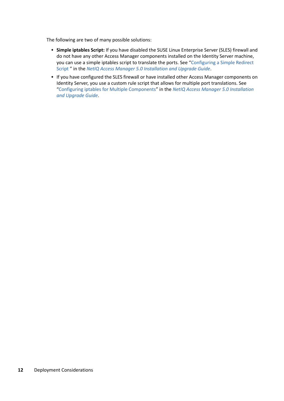The following are two of many possible solutions:

- **Simple iptables Script:** If you have disabled the SUSE Linux Enterprise Server (SLES) firewall and do not have any other Access Manager components installed on the Identity Server machine, you can use a simple iptables script to translate the ports. See "[Configuring a Simple Redirect](https://www.microfocus.com/documentation/access-manager/5.0/pdfdoc/install_upgrade/install_upgrade.pdf#redirectscript)  [Script "](https://www.microfocus.com/documentation/access-manager/5.0/pdfdoc/install_upgrade/install_upgrade.pdf#redirectscript) in the *[NetIQ Access Manager 5.0 Installation and Upgrade Guide](https://www.microfocus.com/documentation/access-manager/5.0/pdfdoc/install_upgrade/install_upgrade.pdf#bookinfo)*.
- If you have configured the SLES firewall or have installed other Access Manager components on Identity Server, you use a custom rule script that allows for multiple port translations. See ["Configuring iptables for Multiple Components"](https://www.microfocus.com/documentation/access-manager/5.0/pdfdoc/install_upgrade/install_upgrade.pdf#iptablesmulticomp) in the *[NetIQ Access Manager 5.0 Installation](https://www.microfocus.com/documentation/access-manager/5.0/pdfdoc/install_upgrade/install_upgrade.pdf#bookinfo)  [and Upgrade Guide](https://www.microfocus.com/documentation/access-manager/5.0/pdfdoc/install_upgrade/install_upgrade.pdf#bookinfo)*.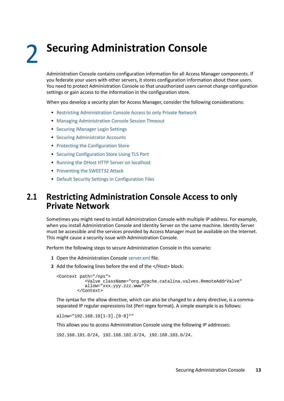<span id="page-12-0"></span>**Securing Administration Console** 

Administration Console contains configuration information for all Access Manager components. If you federate your users with other servers, it stores configuration information about these users. You need to protect Administration Console so that unauthorized users cannot change configuration settings or gain access to the information in the configuration store.

When you develop a security plan for Access Manager, consider the following considerations:

- [Restricting Administration Console Access to only Private Network](#page-12-1)
- [Managing Administration Console Session Timeout](#page-13-0)
- **[Securing iManager Login Settings](#page-13-1)**

2

- [Securing Administrator Accounts](#page-13-2)
- [Protecting the Configuration Store](#page-15-0)
- **[Securing Configuration Store Using TLS Port](#page-15-1)**
- [Running the DHost HTTP Server on localhost](#page-16-0)
- [Preventing the SWEET32 Attack](#page-16-1)
- [Default Security Settings in Configuration Files](#page-16-2)

## <span id="page-12-1"></span>**2.1 Restricting Administration Console Access to only Private Network**

Sometimes you might need to install Administration Console with multiple IP address. For example, when you install Administration Console and Identity Server on the same machine. Identity Server must be accessible and the services provided by Access Manager must be available on the Internet. This might cause a security issue with Administration Console.

Perform the following steps to secure Administration Console in this scenario:

- **1** Open the Administration Console [server.xml](https://www.microfocus.com/documentation/access-manager/5.0/pdfdoc/admin/admin.pdf#serverxml) file.
- **2** Add the following lines before the end of the </Host> block:

```
<Context path="/nps">
            <Valve className="org.apache.catalina.valves.RemoteAddrValve"
            allow="xxx.yyy.zzz.www"/>
         </Context>
```
The syntax for the allow directive, which can also be changed to a deny directive, is a commaseparated IP regular expressions list (Perl regex format). A simple example is as follows:

allow="192.168.10[1-3].[0-9]\*"

This allows you to access Administration Console using the following IP addresses:

192.168.101.0/24, 192.168.102.0/24, 192.168.103.0/24.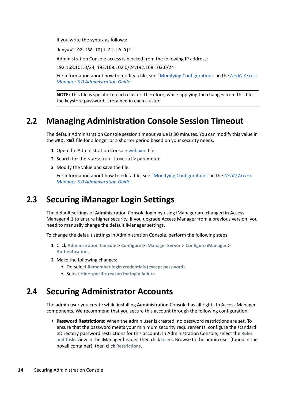If you write the syntax as follows:

deny=="192.168.10[1-3].[0-9]\*"

Administration Console access is blocked from the following IP address:

192.168.101.0/24, 192.168.102.0/24,192.168.103.0/24

For information about how to modify a file, see ["Modifying Configurations"](https://www.microfocus.com/documentation/access-manager/5.0/pdfdoc/admin/admin.pdf#modconfigfile) in the *[NetIQ Access](https://www.microfocus.com/documentation/access-manager/5.0/pdfdoc/admin/admin.pdf#bookinfo)  [Manager 5.0 Administration Guide](https://www.microfocus.com/documentation/access-manager/5.0/pdfdoc/admin/admin.pdf#bookinfo)*.

**NOTE:** This file is specific to each cluster. Therefore, while applying the changes from this file, the keystore password is retained in each cluster.

## <span id="page-13-0"></span>**2.2 Managing Administration Console Session Timeout**

The default Administration Console session timeout value is 30 minutes. You can modify this value in the web.xml file for a longer or a shorter period based on your security needs.

- **1** Open the Administration Console [web.xml](https://www.microfocus.com/documentation/access-manager/5.0/pdfdoc/admin/admin.pdf#web) file.
- **2** Search for the <session-timeout> parameter.
- **3** Modify the value and save the file.

For information about how to edit a file, see ["Modifying Configurations](https://www.microfocus.com/documentation/access-manager/5.0/pdfdoc/admin/admin.pdf#modconfigfile)" in the *[NetIQ Access](https://www.microfocus.com/documentation/access-manager/5.0/pdfdoc/admin/admin.pdf#bookinfo)  [Manager 5.0 Administration Guide](https://www.microfocus.com/documentation/access-manager/5.0/pdfdoc/admin/admin.pdf#bookinfo)*.

## <span id="page-13-1"></span>**2.3 Securing iManager Login Settings**

The default settings of Administration Console login by using iManager are changed in Access Manager 4.1 to ensure higher security. If you upgrade Access Manager from a previous version, you need to manually change the default iManager settings.

To change the default settings in Administration Console, perform the following steps:

- **1** Click **Administration Console** > **Configure** > **iManager Server** > **Configure iManager** > **Authentication**.
- **2** Make the following changes:
	- De-select **Remember login credentials (except password)**.
	- Select **Hide specific reason for login failure**.

## <span id="page-13-2"></span>**2.4 Securing Administrator Accounts**

The admin user you create while installing Administration Console has all rights to Access Manager components. We recommend that you secure this account through the following configuration:

 **Password Restrictions:** When the admin user is created, no password restrictions are set. To ensure that the password meets your minimum security requirements, configure the standard eDirectory password restrictions for this account. In Administration Console, select the **Roles and Tasks** view in the iManager header, then click **Users**. Browse to the admin user (found in the novell container), then click **Restrictions**.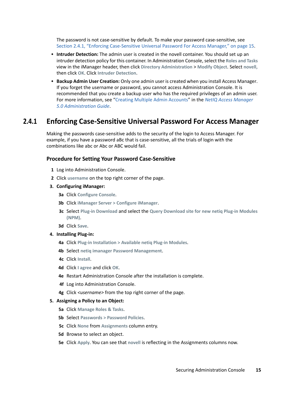The password is not case-sensitive by default. To make your password case-sensitive, see [Section 2.4.1, "Enforcing Case-Sensitive Universal Password For Access Manager," on page 15.](#page-14-0)

- **Intruder Detection:** The admin user is created in the novell container. You should set up an intruder detection policy for this container. In Administration Console, select the **Roles and Tasks** view in the iManager header, then click **Directory Administration** > **Modify Object**. Select **novell,** then click **OK**. Click **Intruder Detection**.
- **Backup Admin User Creation:** Only one admin user is created when you install Access Manager. If you forget the username or password, you cannot access Administration Console. It is recommended that you create a backup user who has the required privileges of an admin user. For more information, see "[Creating Multiple Admin Accounts](https://www.microfocus.com/documentation/access-manager/5.0/pdfdoc/admin/admin.pdf#bfnqazo)" in the *[NetIQ Access Manager](https://www.microfocus.com/documentation/access-manager/5.0/pdfdoc/admin/admin.pdf#bookinfo)  [5.0 Administration Guide](https://www.microfocus.com/documentation/access-manager/5.0/pdfdoc/admin/admin.pdf#bookinfo)*.

### <span id="page-14-0"></span>**2.4.1 Enforcing Case-Sensitive Universal Password For Access Manager**

Making the passwords case-sensitive adds to the security of the login to Access Manager. For example, if you have a password aBc that is case-sensitive, all the trials of login with the combinations like abc or Abc or ABC would fail.

#### **Procedure for Setting Your Password Case-Sensitive**

- **1** Log into Administration Console.
- **2** Click **username** on the top right corner of the page.
- **3. Configuring iManager:**
	- **3a** Click **Configure Console**.
	- **3b** Click **iManager Server > Configure iManager**.
	- **3c** Select **Plug-in Download** and select the **Query Download site for new netiq Plug-in Modules (NPM)**.
	- **3d** Click **Save**.
- **4. Installing Plug-in:**
	- **4a** Click **Plug-in Installation > Available netiq Plug-in Modules**.
	- **4b** Select **netiq imanager Password Management**.
	- **4c** Click **Install**.
	- **4d** Click **I agree** and click **OK**.
	- **4e** Restart Administration Console after the installation is complete.
	- **4f** Log into Administration Console.
	- **4g** Click *<username>* from the top right corner of the page.

#### **5. Assigning a Policy to an Object:**

- **5a** Click **Manage Roles & Tasks**.
- **5b** Select **Passwords > Password Policies**.
- **5c** Click **None** from **Assignments** column entry.
- **5d** Browse to select an object.
- **5e** Click **Apply**. You can see that **novell** is reflecting in the Assignments columns now.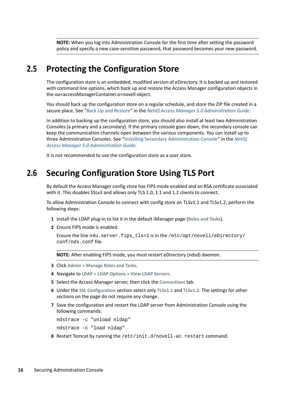**NOTE:** When you log into Administration Console for the first time after setting the password policy and specify a new case-sensitive password, that password becomes your new password.

## <span id="page-15-0"></span>**2.5 Protecting the Configuration Store**

The configuration store is an embedded, modified version of eDirectory. It is backed up and restored with command line options, which back up and restore the Access Manager configuration objects in the ou=accessManagerContainer.o=novell object.

You should back up the configuration store on a regular schedule, and store the ZIP file created in a secure place. See ["Back Up and Restore](https://www.microfocus.com/documentation/access-manager/5.0/pdfdoc/admin/admin.pdf#b5ve1by)" in the *[NetIQ Access Manager 5.0 Administration Guide](https://www.microfocus.com/documentation/access-manager/5.0/pdfdoc/admin/admin.pdf#bookinfo)*.

In addition to backing up the configuration store, you should also install at least two Administration Consoles (a primary and a secondary). If the primary console goes down, the secondary console can keep the communication channels open between the various components. You can install up to three Administration Consoles. See "[Installing Secondary Administration Console](https://www.microfocus.com/documentation/access-manager/5.0/pdfdoc/admin/admin.pdf#b13cjxu0)" in the *[NetIQ](https://www.microfocus.com/documentation/access-manager/5.0/pdfdoc/admin/admin.pdf#bookinfo)  [Access Manager 5.0 Administration Guide](https://www.microfocus.com/documentation/access-manager/5.0/pdfdoc/admin/admin.pdf#bookinfo)*.

It is not recommended to use the configuration store as a user store.

## <span id="page-15-1"></span>**2.6 Securing Configuration Store Using TLS Port**

By default the Access Manager config store has FIPS mode enabled and an RSA certificate associated with it. This disables SSLv3 and allows only TLS 1.0, 1.1 and 1.2 clients to connect.

To allow Administration Console to connect with config store on TLSv1.1 and TLSv1.2, perform the following steps:

- **1** Install the LDAP plug-in to list it in the default iManager page (**Roles and Tasks**).
- **2** Ensure FIPS mode is enabled.

Ensure the line n4u.server.fips tls=1 is in the /etc/opt/novell/eDirectory/ conf/nds.conf file.

**NOTE:** After enabling FIPS mode, you must restart eDirectory (ndsd) daemon.

- **3** Click **Admin > Manage Roles and Tasks**.
- **4** Navigate to **LDAP > LDAP Options > View LDAP Servers**.
- **5** Select the Access Manager server, then click the **Connections** tab.
- **6** Under the **SSL Configuration** section select only **TLSv1.1** and **TLSv1.2**. The settings for other sections on the page do not require any change.
- **7** Save the configuration and restart the LDAP server from Administration Console using the following commands:

ndstrace -c "unload nldap"

ndstrace -c "load nldap"

**8** Restart Tomcat by running the /etc/init.d/novell-ac restart command.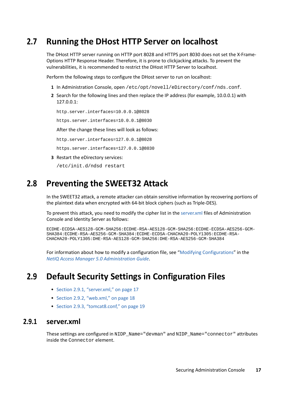## <span id="page-16-0"></span>**2.7 Running the DHost HTTP Server on localhost**

The DHost HTTP server running on HTTP port 8028 and HTTPS port 8030 does not set the X-Frame-Options HTTP Response Header. Therefore, it is prone to clickjacking attacks. To prevent the vulnerabilities, it is recommended to restrict the DHost HTTP Server to localhost.

Perform the following steps to configure the DHost server to run on localhost:

- **1** In Administration Console, open /etc/opt/novell/eDirectory/conf/nds.conf.
- **2** Search for the following lines and then replace the IP address (for example, 10.0.0.1) with 127.0.0.1:

http.server.interfaces=10.0.0.1@8028

https.server.interfaces=10.0.0.1@8030

After the change these lines will look as follows:

http.server.interfaces=127.0.0.1@8028

https.server.interfaces=127.0.0.1@8030

**3** Restart the eDirectory services:

/etc/init.d/ndsd restart

### <span id="page-16-1"></span>**2.8 Preventing the SWEET32 Attack**

In the SWEET32 attack, a remote attacker can obtain sensitive information by recovering portions of the plaintext data when encrypted with 64-bit block ciphers (such as Triple-DES).

To prevent this attack, you need to modify the cipher list in the [server.xml](https://www.microfocus.com/documentation/access-manager/5.0/pdfdoc/admin/admin.pdf#serverxml) files of Administration Console and Identity Server as follows:

ECDHE-ECDSA-AES128-GCM-SHA256:ECDHE-RSA-AES128-GCM-SHA256:ECDHE-ECDSA-AES256-GCM-SHA384:ECDHE-RSA-AES256-GCM-SHA384:ECDHE-ECDSA-CHACHA20-POLY1305:ECDHE-RSA-CHACHA20-POLY1305:DHE-RSA-AES128-GCM-SHA256:DHE-RSA-AES256-GCM-SHA384

For information about how to modify a configuration file, see "[Modifying Configurations"](https://www.microfocus.com/documentation/access-manager/5.0/pdfdoc/admin/admin.pdf#modconfigfile) in the *[NetIQ Access Manager 5.0 Administration Guide](https://www.microfocus.com/documentation/access-manager/5.0/pdfdoc/admin/admin.pdf#bookinfo)*.

## <span id="page-16-2"></span>**2.9 Default Security Settings in Configuration Files**

- ◆ [Section 2.9.1, "server.xml," on page 17](#page-16-3)
- $\bullet$  [Section 2.9.2, "web.xml," on page 18](#page-17-0)
- ◆ [Section 2.9.3, "tomcat8.conf," on page 19](#page-18-0)

#### <span id="page-16-3"></span>**2.9.1 server.xml**

These settings are configured in NIDP\_Name="devman" and NIDP\_Name="connector" attributes inside the Connector element.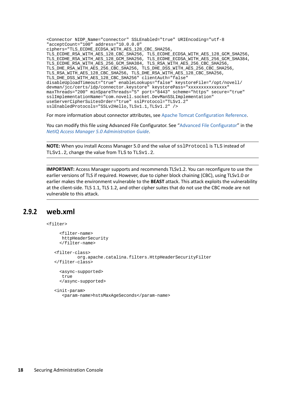<Connector NIDP\_Name="connector" SSLEnabled="true" URIEncoding="utf-8 "acceptCount="100" address="10.0.0.0" ciphers="TLS\_ECDHE\_ECDSA\_WITH\_AES\_128\_CBC\_SHA256, TLS\_ECDHE\_RSA\_WITH\_AES\_128\_CBC\_SHA256, TLS\_ECDHE\_ECDSA\_WITH\_AES\_128\_GCM\_SHA256, TLS\_ECDHE\_RSA\_WITH\_AES\_128\_GCM\_SHA256, TLS\_ECDHE\_ECDSA\_WITH\_AES\_256\_GCM\_SHA384, TLS\_ECDHE\_RSA\_WITH\_AES\_256\_GCM\_SHA384, TLS\_RSA\_WITH\_AES\_256\_CBC\_SHA256, TLS\_DHE\_RSA\_WITH\_AES\_256\_CBC\_SHA256, TLS\_DHE\_DSS\_WITH\_AES\_256\_CBC\_SHA256, TLS\_RSA\_WITH\_AES\_128\_CBC\_SHA256, TLS\_DHE\_RSA\_WITH\_AES\_128\_CBC\_SHA256, TLS\_DHE\_DSS\_WITH\_AES\_128\_CBC\_SHA256" clientAuth="false" disableUploadTimeout="true" enableLookups="false" keystoreFile="/opt/novell/ devman/jcc/certs/idp/connector.keystore" keystorePass="xxxxxxxxxxxxxxx" maxThreads="200" minSpareThreads="5" port="8443" scheme="https" secure="true" sslImplementationName="com.novell.socket.DevManSSLImplementation" useServerCipherSuitesOrder="true" sslProtocol="TLSv1.2" sslEnabledProtocols="SSLv2Hello,TLSv1.1,TLSv1.2" />

For more information about connector attributes, see [Apache Tomcat Configuration Reference](https://tomcat.apache.org/tomcat-8.0-doc/config/http.html#Attributes).

You can modify this file using Advanced File Configurator. See "[Advanced File Configurator](https://www.microfocus.com/documentation/access-manager/5.0/pdfdoc/admin/admin.pdf#advancedfileconfigurator)" in the *[NetIQ Access Manager 5.0 Administration Guide](https://www.microfocus.com/documentation/access-manager/5.0/pdfdoc/admin/admin.pdf#bookinfo)*.

**NOTE:** When you install Access Manager 5.0 and the value of  $\text{sslProtocol}$  is TLS instead of TLSv1.2, change the value from TLS to TLSv1.2.

**IMPORTANT:** Access Manager supports and recommends TLSv1.2. You can reconfigure to use the earlier versions of TLS if required. However, due to cipher block chaining (CBC), using TLSv1.0 or earlier makes the environment vulnerable to the **BEAST** attack. This attack exploits the vulnerability at the client-side. TLS 1.1, TLS 1.2, and other cipher suites that do not use the CBC mode are not vulnerable to this attack.

#### <span id="page-17-0"></span>**2.9.2 web.xml**

<filter>

```
 <filter-name>
   httpHeaderSecurity
   </filter-name>
 <filter-class>
         org.apache.catalina.filters.HttpHeaderSecurityFilter
 </filter-class>
   <async-supported>
   true
   </async-supported>
 <init-param>
    <param-name>hstsMaxAgeSeconds</param-name>
```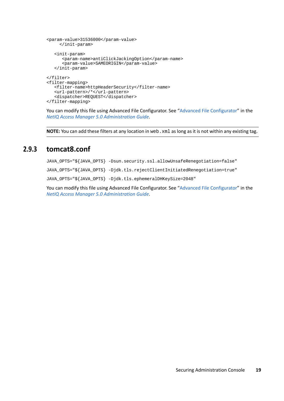```
<param-value>31536000</param-value>
      </init-param>
    <init-param>
       <param-name>antiClickJackingOption</param-name>
       <param-value>SAMEORIGIN</param-value>
    </init-param>
</filter>
<filter-mapping>
    <filter-name>httpHeaderSecurity</filter-name>
    <url-pattern>/*</url-pattern>
    <dispatcher>REQUEST</dispatcher>
</filter-mapping>
```
You can modify this file using Advanced File Configurator. See "[Advanced File Configurator](https://www.microfocus.com/documentation/access-manager/5.0/pdfdoc/admin/admin.pdf#advancedfileconfigurator)" in the *[NetIQ Access Manager 5.0 Administration Guide](https://www.microfocus.com/documentation/access-manager/5.0/pdfdoc/admin/admin.pdf#bookinfo)*.

**NOTE:** You can add these filters at any location in web. xml as long as it is not within any existing tag.

#### <span id="page-18-0"></span>**2.9.3 tomcat8.conf**

JAVA\_OPTS="\${JAVA\_OPTS} -Dsun.security.ssl.allowUnsafeRenegotiation=false" JAVA\_OPTS="\${JAVA\_OPTS} -Djdk.tls.rejectClientInitiatedRenegotiation=true" JAVA\_OPTS="\${JAVA\_OPTS} -Djdk.tls.ephemeralDHKeySize=2048"

You can modify this file using Advanced File Configurator. See "[Advanced File Configurator](https://www.microfocus.com/documentation/access-manager/5.0/pdfdoc/admin/admin.pdf#advancedfileconfigurator)" in the *[NetIQ Access Manager 5.0 Administration Guide](https://www.microfocus.com/documentation/access-manager/5.0/pdfdoc/admin/admin.pdf#bookinfo)*.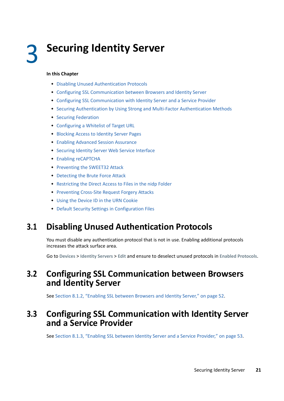# <span id="page-20-0"></span><sup>3</sup> **Securing Identity Server**

#### **In this Chapter**

- [Disabling Unused Authentication Protocols](#page-20-1)
- [Configuring SSL Communication between Browsers and Identity Server](#page-20-2)
- [Configuring SSL Communication with Identity Server and a Service Provider](#page-20-3)
- [Securing Authentication by Using Strong and Multi-Factor Authentication Methods](#page-21-0)
- **[Securing Federation](#page-22-0)**
- [Configuring a Whitelist of Target URL](#page-23-1)
- [Blocking Access to Identity Server Pages](#page-26-0)
- [Enabling Advanced Session Assurance](#page-26-1)
- [Securing Identity Server Web Service Interface](#page-27-0)
- **[Enabling reCAPTCHA](#page-27-1)**
- [Preventing the SWEET32 Attack](#page-28-0)
- [Detecting the Brute Force Attack](#page-28-1)
- [Restricting the Direct Access to Files in the nidp Folder](#page-28-2)
- **[Preventing Cross-Site Request Forgery Attacks](#page-29-0)**
- [Using the Device ID in the URN Cookie](#page-31-0)
- [Default Security Settings in Configuration Files](#page-31-1)

## <span id="page-20-1"></span>**3.1 Disabling Unused Authentication Protocols**

You must disable any authentication protocol that is not in use. Enabling additional protocols increases the attack surface area.

Go to **Devices** > **Identity Servers** > **Edit** and ensure to deselect unused protocols in **Enabled Protocols**.

### <span id="page-20-2"></span>**3.2 Configuring SSL Communication between Browsers and Identity Server**

See [Section 8.1.2, "Enabling SSL between Browsers and Identity Server," on page 52.](#page-51-3)

### <span id="page-20-3"></span>**3.3 Configuring SSL Communication with Identity Server and a Service Provider**

See [Section 8.1.3, "Enabling SSL between Identity Server and a Service Provider," on page 53.](#page-52-2)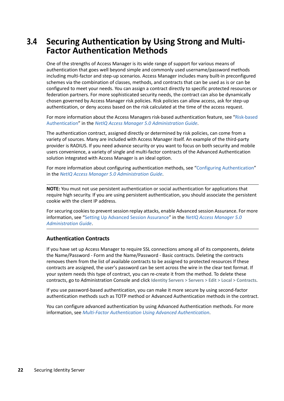## <span id="page-21-0"></span>**3.4 Securing Authentication by Using Strong and Multi-Factor Authentication Methods**

One of the strengths of Access Manager is its wide range of support for various means of authentication that goes well beyond simple and commonly used username/password methods including multi-factor and step-up scenarios. Access Manager includes many built-in preconfigured schemes via the combination of classes, methods, and contracts that can be used as is or can be configured to meet your needs. You can assign a contract directly to specific protected resources or federation partners. For more sophisticated security needs, the contract can also be dynamically chosen governed by Access Manager risk policies. Risk policies can allow access, ask for step-up authentication, or deny access based on the risk calculated at the time of the access request.

For more information about the Access Managers risk-based authentication feature, see ["Risk-based](https://www.microfocus.com/documentation/access-manager/5.0/pdfdoc/admin/admin.pdf#b1dg0omz)  [Authentication"](https://www.microfocus.com/documentation/access-manager/5.0/pdfdoc/admin/admin.pdf#b1dg0omz) in the *[NetIQ Access Manager 5.0 Administration Guide](https://www.microfocus.com/documentation/access-manager/5.0/pdfdoc/admin/admin.pdf#bookinfo)*.

The authentication contract, assigned directly or determined by risk policies, can come from a variety of sources. Many are included with Access Manager itself. An example of the third-party provider is RADIUS. If you need advance security or you want to focus on both security and mobile users convenience, a variety of single and multi-factor contracts of the Advanced Authentication solution integrated with Access Manager is an ideal option.

For more information about configuring authentication methods, see ["Configuring Authentication"](https://www.microfocus.com/documentation/access-manager/5.0/pdfdoc/admin/admin.pdf#b137p6z6) in the *[NetIQ Access Manager 5.0 Administration Guide](https://www.microfocus.com/documentation/access-manager/5.0/pdfdoc/admin/admin.pdf#bookinfo)*.

**NOTE:** You must not use persistent authentication or social authentication for applications that require high security. If you are using persistent authentication, you should associate the persistent cookie with the client IP address.

For securing cookies to prevent session replay attacks, enable Advanced session Assurance. For more information, see "[Setting Up Advanced Session Assurance](https://www.microfocus.com/documentation/access-manager/5.0/pdfdoc/admin/admin.pdf#advsessionassurance)" in the *[NetIQ Access Manager 5.0](https://www.microfocus.com/documentation/access-manager/5.0/pdfdoc/admin/admin.pdf#bookinfo)  [Administration Guide](https://www.microfocus.com/documentation/access-manager/5.0/pdfdoc/admin/admin.pdf#bookinfo)*.

#### **Authentication Contracts**

If you have set up Access Manager to require SSL connections among all of its components, delete the Name/Password - Form and the Name/Password - Basic contracts. Deleting the contracts removes them from the list of available contracts to be assigned to protected resources If these contracts are assigned, the user's password can be sent across the wire in the clear text format. If your system needs this type of contract, you can re-create it from the method. To delete these contracts, go to Administration Console and click **Identity Servers > Servers > Edit > Local > Contracts**.

If you use password-based authentication, you can make it more secure by using second-factor authentication methods such as TOTP method or Advanced Authentication methods in the contract.

You can configure advanced authentication by using Advanced Authentication methods. For more information, see *[Multi-Factor Authentication Using Advanced Authentication](https://www.microfocus.com/documentation/access-manager/5.0/pdfdoc/nam_aa_integration_guide/nam_aa_integration_guide.pdf#namaaintegrationguide)*.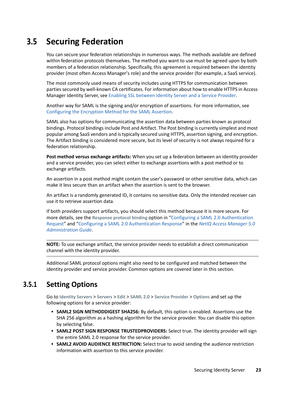## <span id="page-22-0"></span>**3.5 Securing Federation**

You can secure your federation relationships in numerous ways. The methods available are defined within federation protocols themselves. The method you want to use must be agreed upon by both members of a federation relationship. Specifically, this agreement is required between the identity provider (most often Access Manager's role) and the service provider (for example, a SaaS service).

The most commonly used means of security includes using HTTPS for communication between parties secured by well-known CA certificates. For information about how to enable HTTPS in Access Manager Identity Server, see [Enabling SSL between Identity Server and a Service Provider.](#page-52-2)

Another way for SAML is the signing and/or encryption of assertions. For more information, see [Configuring the Encryption Method for the SAML Assertion](#page-23-0).

SAML also has options for communicating the assertion data between parties known as protocol bindings. Protocol bindings include Post and Artifact. The Post binding is currently simplest and most popular among SaaS vendors and is typically secured using HTTPS, assertion signing, and encryption. The Artifact binding is considered more secure, but its level of security is not always required for a federation relationship.

**Post method versus exchange artifacts:** When you set up a federation between an identity provider and a service provider, you can select either to exchange assertions with a post method or to exchange artifacts.

An assertion in a post method might contain the user's password or other sensitive data, which can make it less secure than an artifact when the assertion is sent to the browser.

An artifact is a randomly generated ID, it contains no sensitive data. Only the intended receiver can use it to retrieve assertion data.

If both providers support artifacts, you should select this method because it is more secure. For more details, see the **Response protocol binding** option in "[Configuring a SAML 2.0 Authentication](https://www.microfocus.com/documentation/access-manager/5.0/pdfdoc/admin/admin.pdf#saml2authrqt)  [Request"](https://www.microfocus.com/documentation/access-manager/5.0/pdfdoc/admin/admin.pdf#saml2authrqt) and "[Configuring a SAML 2.0 Authentication Response](https://www.microfocus.com/documentation/access-manager/5.0/pdfdoc/admin/admin.pdf#saml2authresp)" in the *[NetIQ Access Manager 5.0](https://www.microfocus.com/documentation/access-manager/5.0/pdfdoc/admin/admin.pdf#bookinfo)  [Administration Guide](https://www.microfocus.com/documentation/access-manager/5.0/pdfdoc/admin/admin.pdf#bookinfo)*.

**NOTE:** To use exchange artifact, the service provider needs to establish a direct communication channel with the identity provider.

Additional SAML protocol options might also need to be configured and matched between the identity provider and service provider. Common options are covered later in this section.

### <span id="page-22-1"></span>**3.5.1 Setting Options**

Go to **Identity Servers** > **Servers** > **Edit** > **SAML 2.0** > **Service Provider** > **Options** and set up the following options for a service provider:

- **SAML2 SIGN METHODDIGEST SHA256:** By default, this option is enabled. Assertions use the SHA 256 algorithm as a hashing algorithm for the service provider. You can disable this option by selecting false.
- **SAML2 POST SIGN RESPONSE TRUSTEDPROVIDERS:** Select true. The identity provider will sign the entire SAML 2.0 response for the service provider.
- **SAML2 AVOID AUDIENCE RESTRICTION:** Select true to avoid sending the audience restriction information with assertion to this service provider.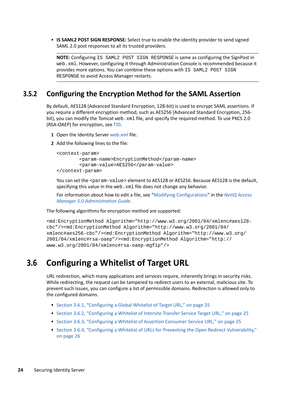**IS SAML2 POST SIGN RESPONSE:** Select true to enable the identity provider to send signed SAML 2.0 post responses to all its trusted providers.

**NOTE:** Configuring IS SAML2 POST SIGN RESPONSE is same as configuring the SignPost in web.xml. However, configuring it through Administration Console is recommended because it provides more options. You can combine these options with IS SAML2 POST SIGN RESPONSE to avoid Access Manager restarts.

#### <span id="page-23-0"></span>**3.5.2 Configuring the Encryption Method for the SAML Assertion**

By default, AES128 (Advanced Standard Encryption, 128-bit) is used to encrypt SAML assertions. If you require a different encryption method, such as AES256 (Advanced Standard Encryption, 256 bit), you can modify the Tomcat web.  $xml$  file, and specify the required method. To use PKCS 2.0 (RSA-OAEP) for encryption, see [TID](https://www.novell.com/support/kb/doc.php?id=7017339).

- **1** Open the Identity Server [web.xml](https://www.microfocus.com/documentation/access-manager/5.0/pdfdoc/admin/admin.pdf#web) file.
- **2** Add the following lines to the file:

```
<context-param>
         <param-name>EncryptionMethod</param-name>
         <param-value>AES256</param-value>
</context-param>
```
You can set the <param-value> element to AES128 or AES256. Because AES128 is the default, specifying this value in the web. xml file does not change any behavior.

For information about how to edit a file, see ["Modifying Configurations](https://www.microfocus.com/documentation/access-manager/5.0/pdfdoc/admin/admin.pdf#modconfigfile)" in the *[NetIQ Access](https://www.microfocus.com/documentation/access-manager/5.0/pdfdoc/admin/admin.pdf#bookinfo)  [Manager 5.0 Administration Guide](https://www.microfocus.com/documentation/access-manager/5.0/pdfdoc/admin/admin.pdf#bookinfo)*.

The following algorithms for encryption method are supported:

```
<md:EncryptionMethod Algorithm="http://www.w3.org/2001/04/xmlenc#aes128-
cbc"/><md:EncryptionMethod Algorithm="http://www.w3.org/2001/04/
xmlenc#aes256-cbc"/><md:EncryptionMethod Algorithm="http://www.w3.org/
2001/04/xmlenc#rsa-oaep"/><md:EncryptionMethod Algorithm="http://
www.w3.org/2001/04/xmlenc#rsa-oaep-mgf1p"/>
```
## <span id="page-23-1"></span>**3.6 Configuring a Whitelist of Target URL**

URL redirection, which many applications and services require, inherently brings in security risks. While redirecting, the request can be tampered to redirect users to an external, malicious site. To prevent such issues, you can configure a list of permissible domains. Redirection is allowed only to the configured domains.

- [Section 3.6.1, "Configuring a Global Whitelist of Target URL," on page 25](#page-24-0)
- \* [Section 3.6.2, "Configuring a Whitelist of Intersite Transfer Service Target URL," on page 25](#page-24-1)
- \* [Section 3.6.3, "Configuring a Whitelist of Assertion Consumer Service URL," on page 25](#page-24-2)
- [Section 3.6.4, "Configuring a Whitelist of URLs for Preventing the Open Redirect Vulnerability,"](#page-25-0)  [on page 26](#page-25-0)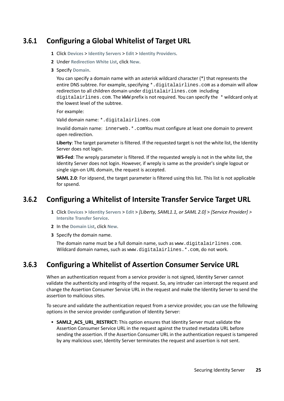### <span id="page-24-0"></span>**3.6.1 Configuring a Global Whitelist of Target URL**

- **1** Click **Devices** > **Identity Servers** > **Edit** > **Identity Providers**.
- **2** Under **Redirection White List**, click **New**.
- **3** Specify **Domain**.

You can specify a domain name with an asterisk wildcard character (\*) that represents the entire DNS subtree. For example, specifying \*.digitalairlines.com as a domain will allow redirection to all children domain under digitalairlines.com including digitalairlines.com. The WWW prefix is not required. You can specify the \* wildcard only at the lowest level of the subtree.

For example:

Valid domain name: \*.digitalairlines.com

Invalid domain name: innerweb.\*.comYou must configure at least one domain to prevent open redirection.

**Liberty**: The target parameter is filtered. If the requested target is not the white list, the Identity Server does not login.

**WS-Fed**: The wreply parameter is filtered. If the requested wreply is not in the white list, the Identity Server does not login. However, if wreply is same as the provider's single logout or single sign-on URL domain, the request is accepted.

**SAML 2.0**: For idpsend, the target parameter is filtered using this list. This list is not applicable for spsend.

### <span id="page-24-1"></span>**3.6.2 Configuring a Whitelist of Intersite Transfer Service Target URL**

- **1** Click **Devices** > **Identity Servers** > **Edit** > *[Liberty, SAML1.1, or SAML 2.0]* > *[Service Provider] >* **Intersite Transfer Service**.
- **2** In the **Domain List**, click **New**.
- **3** Specify the domain name.

The domain name must be a full domain name, such as www.digitalairlines.com. Wildcard domain names, such as www.digitalairlines. \*. com, do not work.

### <span id="page-24-2"></span>**3.6.3 Configuring a Whitelist of Assertion Consumer Service URL**

When an authentication request from a service provider is not signed, Identity Server cannot validate the authenticity and integrity of the request. So, any intruder can intercept the request and change the Assertion Consumer Service URL in the request and make the Identity Server to send the assertion to malicious sites.

To secure and validate the authentication request from a service provider, you can use the following options in the service provider configuration of Identity Server:

**SAML2 ACS URL RESTRICT:** This option ensures that Identity Server must validate the Assertion Consumer Service URL in the request against the trusted metadata URL before sending the assertion. If the Assertion Consumer URL in the authentication request is tampered by any malicious user, Identity Server terminates the request and assertion is not sent.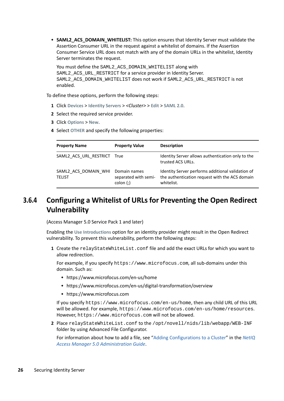**SAML2\_ACS\_DOMAIN\_WHITELIST:** This option ensures that Identity Server must validate the Assertion Consumer URL in the request against a whitelist of domains. If the Assertion Consumer Service URL does not match with any of the domain URLs in the whitelist, Identity Server terminates the request.

You must define the SAML2\_ACS\_DOMAIN\_WHITELIST along with SAML2 ACS URL RESTRICT for a service provider in Identity Server. SAML2\_ACS\_DOMAIN\_WHITELIST does not work if SAML2\_ACS\_URL\_RESTRICT is not enabled.

To define these options, perform the following steps:

- **1** Click **Devices** > **Identity Servers** > *<Cluster>* > **Edit** > **SAML 2.0**.
- **2** Select the required service provider.
- **3** Click **Options** > **New**.
- **4** Select **OTHER** and specify the following properties:

| <b>Property Name</b>                  | <b>Property Value</b>                            | <b>Description</b>                                                                                                |
|---------------------------------------|--------------------------------------------------|-------------------------------------------------------------------------------------------------------------------|
| SAML2 ACS URL RESTRICT True           |                                                  | Identity Server allows authentication only to the<br>trusted ACS URLs.                                            |
| SAML2 ACS DOMAIN WHI<br><b>TELIST</b> | Domain names<br>separated with semi-<br>color(j) | Identity Server performs additional validation of<br>the authentication request with the ACS domain<br>whitelist. |

### <span id="page-25-0"></span>**3.6.4 Configuring a Whitelist of URLs for Preventing the Open Redirect Vulnerability**

(Access Manager 5.0 Service Pack 1 and later)

Enabling the **Use Introductions** option for an identity provider might result in the Open Redirect vulnerability. To prevent this vulnerability, perform the following steps:

**1** Create the relayStateWhiteList.conf file and add the exact URLs for which you want to allow redirection.

For example, if you specify https://www.microfocus.com, all sub-domains under this domain. Such as:

- https://www.microfocus.com/en-us/home
- https://www.microfocus.com/en-us/digital-transformation/overview
- https://www.microfocus.com

If you specify https://www.microfocus.com/en-us/home, then any child URL of this URL will be allowed. For example, https://www.microfocus.com/en-us/home/resources. However, https://www.microfocus.com will not be allowed.

**2** Place relayStateWhiteList.conf to the /opt/novell/nids/lib/webapp/WEB-INF folder by using Advanced File Configurator.

For information about how to add a file, see "[Adding Configurations to a Cluster"](https://www.microfocus.com/documentation/access-manager/5.0/pdfdoc/admin/admin.pdf#addconfigcluster) in the *[NetIQ](https://www.microfocus.com/documentation/access-manager/5.0/pdfdoc/admin/admin.pdf#bookinfo)  [Access Manager 5.0 Administration Guide](https://www.microfocus.com/documentation/access-manager/5.0/pdfdoc/admin/admin.pdf#bookinfo)*.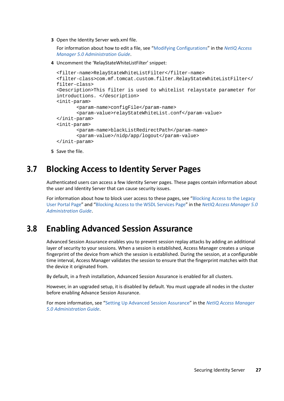**3** Open the Identity Server web.xml file.

For information about how to edit a file, see ["Modifying Configurations](https://www.microfocus.com/documentation/access-manager/5.0/pdfdoc/admin/admin.pdf#modconfigfile)" in the *[NetIQ Access](https://www.microfocus.com/documentation/access-manager/5.0/pdfdoc/admin/admin.pdf#bookinfo)  [Manager 5.0 Administration Guide](https://www.microfocus.com/documentation/access-manager/5.0/pdfdoc/admin/admin.pdf#bookinfo)*.

**4** Uncomment the 'RelayStateWhiteListFilter' snippet:

```
<filter-name>RelayStateWhiteListFilter</filter-name>
<filter-class>com.mf.tomcat.custom.filter.RelayStateWhiteListFilter</
filter-class>
<Description>This filter is used to whitelist relaystate parameter for 
introductions. </description>
<init-param>
        <param-name>configFile</param-name>
        <param-value>relayStateWhiteList.conf</param-value>
</init-param>
<init-param>
        <param-name>blackListRedirectPath</param-name>
        <param-value>/nidp/app/logout</param-value>
</init-param>
```
**5** Save the file.

## <span id="page-26-0"></span>**3.7 Blocking Access to Identity Server Pages**

Authenticated users can access a few Identity Server pages. These pages contain information about the user and Identity Server that can cause security issues.

For information about how to block user access to these pages, see "[Blocking Access to the Legacy](https://www.microfocus.com/documentation/access-manager/5.0/pdfdoc/admin/admin.pdf#bprxxa9)  [User Portal Page](https://www.microfocus.com/documentation/access-manager/5.0/pdfdoc/admin/admin.pdf#bprxxa9)" and "[Blocking Access to the WSDL Services Page](https://www.microfocus.com/documentation/access-manager/5.0/pdfdoc/admin/admin.pdf#b1hnzna9)" in the *[NetIQ Access Manager 5.0](https://www.microfocus.com/documentation/access-manager/5.0/pdfdoc/admin/admin.pdf#bookinfo)  [Administration Guide](https://www.microfocus.com/documentation/access-manager/5.0/pdfdoc/admin/admin.pdf#bookinfo)*.

## <span id="page-26-1"></span>**3.8 Enabling Advanced Session Assurance**

Advanced Session Assurance enables you to prevent session replay attacks by adding an additional layer of security to your sessions. When a session is established, Access Manager creates a unique fingerprint of the device from which the session is established. During the session, at a configurable time interval, Access Manager validates the session to ensure that the fingerprint matches with that the device it originated from.

By default, in a fresh installation, Advanced Session Assurance is enabled for all clusters.

However, in an upgraded setup, it is disabled by default. You must upgrade all nodes in the cluster before enabling Advance Session Assurance.

For more information, see "[Setting Up Advanced Session Assurance](https://www.microfocus.com/documentation/access-manager/5.0/pdfdoc/admin/admin.pdf#advsessionassurance)" in the *[NetIQ Access Manager](https://www.microfocus.com/documentation/access-manager/5.0/pdfdoc/admin/admin.pdf#bookinfo)  [5.0 Administration Guide](https://www.microfocus.com/documentation/access-manager/5.0/pdfdoc/admin/admin.pdf#bookinfo)*.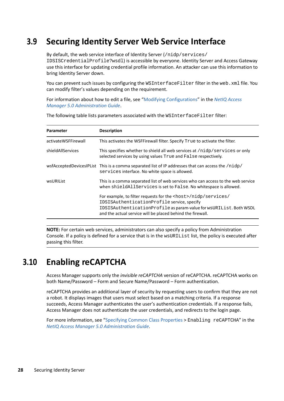## <span id="page-27-0"></span>**3.9 Securing Identity Server Web Service Interface**

By default, the web service interface of Identity Server (/nidp/services/

IDSISCredentialProfile?wsdl) is accessible by everyone. Identity Server and Access Gateway use this interface for updating credential profile information. An attacker can use this information to bring Identity Server down.

You can prevent such issues by configuring the WSInterfaceFilter filter in the web. xml file. You can modify filter's values depending on the requirement.

For information about how to edit a file, see ["Modifying Configurations](https://www.microfocus.com/documentation/access-manager/5.0/pdfdoc/admin/admin.pdf#modconfigfile)" in the *[NetIQ Access](https://www.microfocus.com/documentation/access-manager/5.0/pdfdoc/admin/admin.pdf#bookinfo)  [Manager 5.0 Administration Guide](https://www.microfocus.com/documentation/access-manager/5.0/pdfdoc/admin/admin.pdf#bookinfo)*.

| <b>Parameter</b>    | <b>Description</b>                                                                                                                                                                                                                                         |
|---------------------|------------------------------------------------------------------------------------------------------------------------------------------------------------------------------------------------------------------------------------------------------------|
| activateWSFFirewall | This activates the WSFFirewall filter. Specify True to activate the filter.                                                                                                                                                                                |
| shieldAllServices   | This specifies whether to shield all web services at /nidp/services or only<br>selected services by using values True and False respectively.                                                                                                              |
|                     | wsfAcceptedDevicesIPList This is a comma separated list of IP addresses that can access the /nidp/<br>services interface. No white space is allowed.                                                                                                       |
| wsURIList           | This is a comma separated list of web services who can access to the web service<br>when shield All Services is set to False. No white space is allowed.                                                                                                   |
|                     | For example, to filter requests for the <host>/nidp/services/<br/>IDSISAuthenticationProfile service, specify<br/>IDSISAuthenticationProfile as param-value for wsURIList. Both WSDL<br/>and the actual service will be placed behind the firewall.</host> |

The following table lists parameters associated with the WSInterfaceFilter filter:

**NOTE:** For certain web services, administrators can also specify a policy from Administration Console. If a policy is defined for a service that is in the wsURIList list, the policy is executed after passing this filter.

## <span id="page-27-1"></span>**3.10 Enabling reCAPTCHA**

Access Manager supports only the *invisible reCAPTCHA* version of reCAPTCHA. reCAPTCHA works on both Name/Password – Form and Secure Name/Password – Form authentication.

reCAPTCHA provides an additional layer of security by requesting users to confirm that they are not a robot. It displays images that users must select based on a matching criteria. If a response succeeds, Access Manager authenticates the user's authentication credentials. If a response fails, Access Manager does not authenticate the user credentials, and redirects to the login page.

For more information, see "[Specifying Common Class Properties](https://www.microfocus.com/documentation/access-manager/5.0/pdfdoc/admin/admin.pdf#configureauthclassprop) > Enabling reCAPTCHA" in the *[NetIQ Access Manager 5.0 Administration Guide](https://www.microfocus.com/documentation/access-manager/5.0/pdfdoc/admin/admin.pdf#bookinfo)*.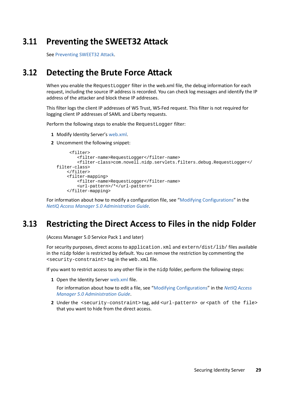## <span id="page-28-0"></span>**3.11 Preventing the SWEET32 Attack**

See Preventing SWEET32 Attack.

## <span id="page-28-1"></span>**3.12 Detecting the Brute Force Attack**

When you enable the RequestLogger filter in the web.xml file, the debug information for each request, including the source IP address is recorded. You can check log messages and identify the IP address of the attacker and block these IP addresses.

This filter logs the client IP addresses of WS Trust, WS-Fed request. This filter is not required for logging client IP addresses of SAML and Liberty requests.

Perform the following steps to enable the RequestLogger filter:

- **1** Modify Identity Server's [web.xml](https://www.microfocus.com/documentation/access-manager/5.0/pdfdoc/admin/admin.pdf#web).
- **2** Uncomment the following snippet:

```
 <filter>
         <filter-name>RequestLogger</filter-name>
         <filter-class>com.novell.nidp.servlets.filters.debug.RequestLogger</
filter-class>
     </filter>
     <filter-mapping>
         <filter-name>RequestLogger</filter-name>
         <url-pattern>/*</url-pattern>
     </filter-mapping>
```
For information about how to modify a configuration file, see "[Modifying Configurations"](https://www.microfocus.com/documentation/access-manager/5.0/pdfdoc/admin/admin.pdf#modconfigfile) in the *[NetIQ Access Manager 5.0 Administration Guide](https://www.microfocus.com/documentation/access-manager/5.0/pdfdoc/admin/admin.pdf#bookinfo)*.

## <span id="page-28-2"></span>**3.13 Restricting the Direct Access to Files in the nidp Folder**

(Access Manager 5.0 Service Pack 1 and later)

For security purposes, direct access to application. xml and extern/dist/lib/ files available in the nidp folder is restricted by default. You can remove the restriction by commenting the <security-constraint> tag in the web.xml file.

If you want to restrict access to any other file in the nidp folder, perform the following steps:

**1** Open the Identity Server [web.xml](https://www.microfocus.com/documentation/access-manager/5.0/pdfdoc/admin/admin.pdf#web) file.

For information about how to edit a file, see ["Modifying Configurations](https://www.microfocus.com/documentation/access-manager/5.0/pdfdoc/admin/admin.pdf#modconfigfile)" in the *[NetIQ Access](https://www.microfocus.com/documentation/access-manager/5.0/pdfdoc/admin/admin.pdf#bookinfo)  [Manager 5.0 Administration Guide](https://www.microfocus.com/documentation/access-manager/5.0/pdfdoc/admin/admin.pdf#bookinfo)*.

**2** Under the <security-constraint> tag, add <url-pattern> or <path of the file> that you want to hide from the direct access.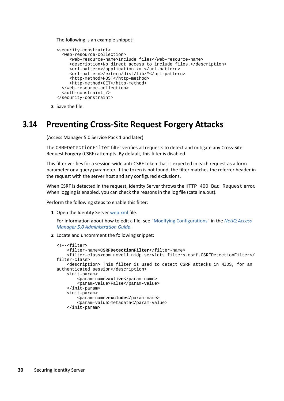#### The following is an example snippet:

```
<security-constraint>
   <web-resource-collection>
      <web-resource-name>Include files</web-resource-name>
      <description>No direct access to include files.</description>
      <url-pattern>/application.xml</url-pattern>
      <url-pattern>/extern/dist/lib/*</url-pattern>
      <http-method>POST</http-method>
      <http-method>GET</http-method>
   </web-resource-collection>
   <auth-constraint />
</security-constraint>
```
**3** Save the file.

### <span id="page-29-0"></span>**3.14 Preventing Cross-Site Request Forgery Attacks**

(Access Manager 5.0 Service Pack 1 and later)

The CSRFDetectionFilter filter verifies all requests to detect and mitigate any Cross-Site Request Forgery (CSRF) attempts. By default, this filter is disabled.

This filter verifies for a session-wide anti-CSRF token that is expected in each request as a form parameter or a query parameter. If the token is not found, the filter matches the referrer header in the request with the server host and any configured exclusions.

When CSRF is detected in the request, Identity Server throws the HTTP 400 Bad Request error. When logging is enabled, you can check the reasons in the log file (catalina.out).

Perform the following steps to enable this filter:

**1** Open the Identity Server [web.xml](https://www.microfocus.com/documentation/access-manager/5.0/pdfdoc/admin/admin.pdf#web) file.

For information about how to edit a file, see ["Modifying Configurations](https://www.microfocus.com/documentation/access-manager/5.0/pdfdoc/admin/admin.pdf#modconfigfile)" in the *[NetIQ Access](https://www.microfocus.com/documentation/access-manager/5.0/pdfdoc/admin/admin.pdf#bookinfo)  [Manager 5.0 Administration Guide](https://www.microfocus.com/documentation/access-manager/5.0/pdfdoc/admin/admin.pdf#bookinfo)*.

**2** Locate and uncomment the following snippet:

```
<!--<filter>
     <filter-name>CSRFDetectionFilter</filter-name>
     <filter-class>com.novell.nidp.servlets.filters.csrf.CSRFDetectionFilter</
filter-class>
     <description> This filter is used to detect CSRF attacks in NIDS, for an 
authenticated session</description>
    <init-param>
         <param-name>active</param-name>
         <param-value>False</param-value>
     </init-param>
     <init-param>
         <param-name>exclude</param-name>
         <param-value>metadata</param-value>
     </init-param>
```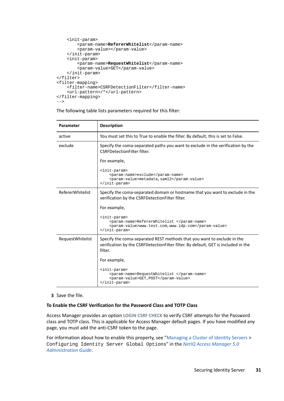```
 <init-param>
         <param-name>RefererWhitelist</param-name>
         <param-value></param-value>
     </init-param>
     <init-param>
         <param-name>RequestWhitelist</param-name>
         <param-value>GET</param-value>
     </init-param>
</filter>
<filter-mapping>
    <filter-name>CSRFDetectionFilter</filter-name>
     <url-pattern>/*</url-pattern>
</filter-mapping> 
-->
```
The following table lists parameters required for this filter:

| Parameter               | <b>Description</b>                                                                                                                                                       |
|-------------------------|--------------------------------------------------------------------------------------------------------------------------------------------------------------------------|
| active                  | You must set this to True to enable the filter. By default, this is set to False.                                                                                        |
| exclude                 | Specify the coma-separated paths you want to exclude in the verification by the<br><b>CSRFDetectionFilter filter.</b>                                                    |
|                         | For example,                                                                                                                                                             |
|                         | <init-param><br/><param-name>exclude</param-name><br/><param-value>metadata, saml2</param-value><br/></init-param>                                                       |
| <b>RefererWhitelist</b> | Specify the coma-separated domain or hostname that you want to exclude in the<br>verification by the CSRFDetectionFilter filter.                                         |
|                         | For example,                                                                                                                                                             |
|                         | <init-param><br/><param-name>RefererWhitelist </param-name><br/><param-value>www.test.com,www.idp.com</param-value><br/></init-param>                                    |
| RequestWhitelist        | Specify the coma-separated REST methods that you want to exclude in the<br>verification by the CSRFDetectionFilter filter. By default, GET is included in the<br>filter. |
|                         | For example,                                                                                                                                                             |
|                         | <init-param><br/><param-name>RequestWhitelist </param-name><br/><param-value>GET, POST</param-value><br/></init-param>                                                   |

**3** Save the file.

#### **To Enable the CSRF Verification for the Password Class and TOTP Class**

Access Manager provides an option **LOGIN CSRF CHECK** to verify CSRF attempts for the Password class and TOTP class. This is applicable for Access Manager default pages. If you have modified any page, you must add the anti-CSRF token to the page.

For information about how to enable this property, see ["Managing a Cluster of Identity Servers](https://www.microfocus.com/documentation/access-manager/5.0/pdfdoc/admin/admin.pdf#bfcvfuj) > Configuring Identity Server Global Options" in the *[NetIQ Access Manager 5.0](https://www.microfocus.com/documentation/access-manager/5.0/pdfdoc/admin/admin.pdf#bookinfo)  [Administration Guide](https://www.microfocus.com/documentation/access-manager/5.0/pdfdoc/admin/admin.pdf#bookinfo)*.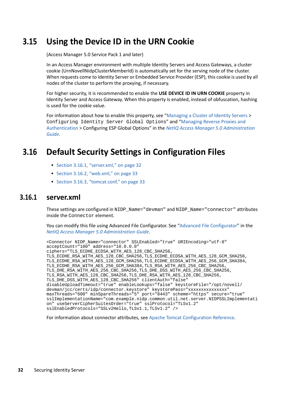## <span id="page-31-0"></span>**3.15 Using the Device ID in the URN Cookie**

(Access Manager 5.0 Service Pack 1 and later)

In an Access Manager environment with multiple Identity Servers and Access Gateways, a cluster cookie (UrnNovellNidpClusterMemberId) is automatically set for the serving node of the cluster. When requests come to Identity Server or Embedded Service Provider (ESP), this cookie is used by all nodes of the cluster to perform the proxying, if necessary.

For higher security, it is recommended to enable the **USE DEVICE ID IN URN COOKIE** property in Identity Server and Access Gateway. When this property is enabled, instead of obfuscation, hashing is used for the cookie value.

For information about how to enable this property, see ["Managing a Cluster of Identity Servers](https://www.microfocus.com/documentation/access-manager/5.0/pdfdoc/admin/admin.pdf#bfcvfuj) > Configuring Identity Server Global Options" and "[Managing Reverse Proxies and](https://www.microfocus.com/documentation/access-manager/5.0/pdfdoc/admin/admin.pdf#reverselist)  [Authentication](https://www.microfocus.com/documentation/access-manager/5.0/pdfdoc/admin/admin.pdf#reverselist) > Configuring ESP Global Options" in the *[NetIQ Access Manager 5.0 Administration](https://www.microfocus.com/documentation/access-manager/5.0/pdfdoc/admin/admin.pdf#bookinfo)  [Guide](https://www.microfocus.com/documentation/access-manager/5.0/pdfdoc/admin/admin.pdf#bookinfo)*.

## <span id="page-31-1"></span>**3.16 Default Security Settings in Configuration Files**

- [Section 3.16.1, "server.xml," on page 32](#page-31-2)
- $\bullet$  [Section 3.16.2, "web.xml," on page 33](#page-32-0)
- ◆ [Section 3.16.3, "tomcat.conf," on page 33](#page-32-1)

#### <span id="page-31-2"></span>**3.16.1 server.xml**

These settings are configured in NIDP\_Name="devman" and NIDP\_Name="connector" attributes inside the Connector element.

You can modify this file using Advanced File Configurator. See "[Advanced File Configurator](https://www.microfocus.com/documentation/access-manager/5.0/pdfdoc/admin/admin.pdf#advancedfileconfigurator)" in the *[NetIQ Access Manager 5.0 Administration Guide](https://www.microfocus.com/documentation/access-manager/5.0/pdfdoc/admin/admin.pdf#bookinfo)*.

```
<Connector NIDP_Name="connector" SSLEnabled="true" URIEncoding="utf-8"
acceptCount="100" address="10.0.0.0"
ciphers="TLS_ECDHE_ECDSA_WITH_AES_128_CBC_SHA256,
TLS_ECDHE_RSA_WITH_AES_128_CBC_SHA256,TLS_ECDHE_ECDSA_WITH_AES_128_GCM_SHA256,
TLS_ECDHE_RSA_WITH_AES_128_GCM_SHA256,TLS_ECDHE_ECDSA_WITH_AES_256_GCM_SHA384,
TLS_ECDHE_RSA_WITH_AES_256_GCM_SHA384,TLS_RSA_WITH_AES_256_CBC_SHA256,
TLS_DHE_RSA_WITH_AES_256_CBC_SHA256,TLS_DHE_DSS_WITH_AES_256_CBC_SHA256,
TLS_RSA_WITH_AES_128_CBC_SHA256,TLS_DHE_RSA_WITH_AES_128_CBC_SHA256,
TLS DHE DSS WITH AES 128 CBC SHA256" clientAuth="false"
disableUploadTimeout="true" enableLookups="false" keystoreFile="/opt/novell/
devman/jcc/certs/idp/connector.keystore" keystorePass="xxxxxxxxxxxxxxx"
maxThreads="600" minSpareThreads="5" port="8443" scheme="https" secure="true"
sslImplementationName="com.example.nidp.common.util.net.server.NIDPSSLImplementati
on" useServerCipherSuitesOrder="true" sslProtocol="TLSv1.2" 
sslEnabledProtocols="SSLv2Hello,TLSv1.1,TLSv1.2" />
```
For information about connector attributes, see [Apache Tomcat Configuration Reference](https://tomcat.apache.org/tomcat-8.0-doc/config/http.html#Attributes).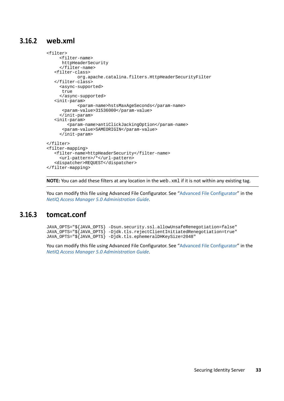### <span id="page-32-0"></span>**3.16.2 web.xml**

```
<filter>
      <filter-name>
      httpHeaderSecurity
      </filter-name>
    <filter-class>
             org.apache.catalina.filters.HttpHeaderSecurityFilter
    </filter-class>
      <async-supported>
       true
      </async-supported>
    <init-param>
             <param-name>hstsMaxAgeSeconds</param-name>
       <param-value>31536000</param-value>
      </init-param>
    <init-param>
         <param-name>antiClickJackingOption</param-name>
       <param-value>SAMEORIGIN</param-value>
      </init-param>
</filter>
<filter-mapping>
    <filter-name>httpHeaderSecurity</filter-name>
      <url-pattern>/*</url-pattern>
    <dispatcher>REQUEST</dispatcher>
</filter-mapping>
```
**NOTE:** You can add these filters at any location in the web. xml if it is not within any existing tag.

You can modify this file using Advanced File Configurator. See "[Advanced File Configurator](https://www.microfocus.com/documentation/access-manager/5.0/pdfdoc/admin/admin.pdf#advancedfileconfigurator)" in the *[NetIQ Access Manager 5.0 Administration Guide](https://www.microfocus.com/documentation/access-manager/5.0/pdfdoc/admin/admin.pdf#bookinfo)*.

#### <span id="page-32-1"></span>**3.16.3 tomcat.conf**

JAVA\_OPTS="\${JAVA\_OPTS} -Dsun.security.ssl.allowUnsafeRenegotiation=false" JAVA\_OPTS="\${JAVA\_OPTS} -Djdk.tls.rejectClientInitiatedRenegotiation=true" JAVA\_OPTS="\${JAVA\_OPTS} -Djdk.tls.ephemeralDHKeySize=2048"

You can modify this file using Advanced File Configurator. See "[Advanced File Configurator](https://www.microfocus.com/documentation/access-manager/5.0/pdfdoc/admin/admin.pdf#advancedfileconfigurator)" in the *[NetIQ Access Manager 5.0 Administration Guide](https://www.microfocus.com/documentation/access-manager/5.0/pdfdoc/admin/admin.pdf#bookinfo)*.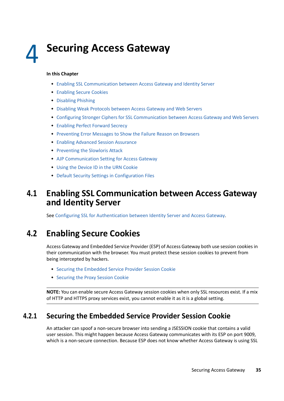# <span id="page-34-0"></span>4 <sup>4</sup> **Securing Access Gateway**

#### **In this Chapter**

- [Enabling SSL Communication between Access Gateway and Identity Server](#page-34-1)
- [Enabling Secure Cookies](#page-34-2)
- [Disabling Phishing](#page-36-0)
- [Disabling Weak Protocols between Access Gateway and Web Servers](#page-36-1)
- [Configuring Stronger Ciphers for SSL Communication between Access Gateway and Web Servers](#page-37-0)
- [Enabling Perfect Forward Secrecy](#page-37-1)
- [Preventing Error Messages to Show the Failure Reason on Browsers](#page-37-2)
- [Enabling Advanced Session Assurance](#page-38-0)
- [Preventing the Slowloris Attack](#page-38-1)
- [AJP Communication Setting for Access Gateway](#page-39-0)
- [Using the Device ID in the URN Cookie](#page-40-0)
- [Default Security Settings in Configuration Files](#page-40-1)

## <span id="page-34-1"></span>**4.1 Enabling SSL Communication between Access Gateway and Identity Server**

See [Configuring SSL for Authentication between Identity Server and Access Gateway.](#page-55-2)

## <span id="page-34-2"></span>**4.2 Enabling Secure Cookies**

Access Gateway and Embedded Service Provider (ESP) of Access Gateway both use session cookies in their communication with the browser. You must protect these session cookies to prevent from being intercepted by hackers.

- [Securing the Embedded Service Provider Session Cookie](#page-34-3)
- **[Securing the Proxy Session Cookie](#page-35-0)**

**NOTE:** You can enable secure Access Gateway session cookies when only SSL resources exist. If a mix of HTTP and HTTPS proxy services exist, you cannot enable it as it is a global setting.

### <span id="page-34-3"></span>**4.2.1 Securing the Embedded Service Provider Session Cookie**

An attacker can spoof a non-secure browser into sending a JSESSION cookie that contains a valid user session. This might happen because Access Gateway communicates with its ESP on port 9009, which is a non-secure connection. Because ESP does not know whether Access Gateway is using SSL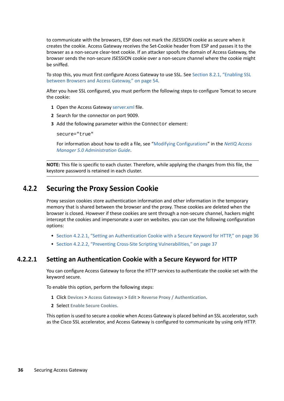to communicate with the browsers, ESP does not mark the JSESSION cookie as secure when it creates the cookie. Access Gateway receives the Set-Cookie header from ESP and passes it to the browser as a non-secure clear-text cookie. If an attacker spoofs the domain of Access Gateway, the browser sends the non-secure JSESSION cookie over a non-secure channel where the cookie might be sniffed.

To stop this, you must first configure Access Gateway to use SSL. See [Section 8.2.1, "Enabling SSL](#page-53-1)  [between Browsers and Access Gateway," on page 54](#page-53-1).

After you have SSL configured, you must perform the following steps to configure Tomcat to secure the cookie:

- **1** Open the Access Gateway [server.xml](https://www.microfocus.com/documentation/access-manager/5.0/pdfdoc/admin/admin.pdf#serverxml) file.
- **2** Search for the connector on port 9009.
- **3** Add the following parameter within the Connector element:

secure="true"

For information about how to edit a file, see ["Modifying Configurations](https://www.microfocus.com/documentation/access-manager/5.0/pdfdoc/admin/admin.pdf#modconfigfile)" in the *[NetIQ Access](https://www.microfocus.com/documentation/access-manager/5.0/pdfdoc/admin/admin.pdf#bookinfo)  [Manager 5.0 Administration Guide](https://www.microfocus.com/documentation/access-manager/5.0/pdfdoc/admin/admin.pdf#bookinfo)*.

**NOTE:** This file is specific to each cluster. Therefore, while applying the changes from this file, the keystore password is retained in each cluster.

### <span id="page-35-0"></span>**4.2.2 Securing the Proxy Session Cookie**

Proxy session cookies store authentication information and other information in the temporary memory that is shared between the browser and the proxy. These cookies are deleted when the browser is closed. However if these cookies are sent through a non-secure channel, hackers might intercept the cookies and impersonate a user on websites. you can use the following configuration options:

- \* [Section 4.2.2.1, "Setting an Authentication Cookie with a Secure Keyword for HTTP," on page 36](#page-35-1)
- [Section 4.2.2.2, "Preventing Cross-Site Scripting Vulnerabilities," on page 37](#page-36-2)

#### <span id="page-35-1"></span>**4.2.2.1 Setting an Authentication Cookie with a Secure Keyword for HTTP**

You can configure Access Gateway to force the HTTP services to authenticate the cookie set with the keyword secure.

To enable this option, perform the following steps:

- **1** Click **Devices** > **Access Gateways** > **Edit** > **Reverse Proxy / Authentication**.
- **2** Select **Enable Secure Cookies.**

This option is used to secure a cookie when Access Gateway is placed behind an SSL accelerator, such as the Cisco SSL accelerator, and Access Gateway is configured to communicate by using only HTTP.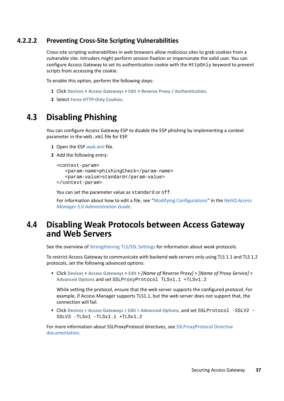#### **4.2.2.2 Preventing Cross-Site Scripting Vulnerabilities**

Cross-site scripting vulnerabilities in web browsers allow malicious sites to grab cookies from a vulnerable site. Intruders might perform session fixation or impersonate the valid user. You can configure Access Gateway to set its authentication cookie with the HttpOnly keyword to prevent scripts from accessing the cookie.

To enable this option, perform the following steps:

- **1** Click **Devices** > **Access Gateways** > **Edit** > **Reverse Proxy / Authentication**.
- **2** Select **Force HTTP-Only Cookies**.

## **4.3 Disabling Phishing**

You can configure Access Gateway ESP to disable the ESP phishing by implementing a context parameter in the web.xml file for ESP.

- **1** Open the ESP [web.xml](https://www.microfocus.com/documentation/access-manager/5.0/pdfdoc/admin/admin.pdf#web) file.
- **2** Add the following entry:

```
<context-param>
    <param-name>phishingCheck</param-name>
    <param-value>standard</param-value>
</context-param>
```
You can set the parameter value as standard or off.

<span id="page-36-0"></span>For information about how to edit a file, see ["Modifying Configurations](https://www.microfocus.com/documentation/access-manager/5.0/pdfdoc/admin/admin.pdf#modconfigfile)" in the *[NetIQ Access](https://www.microfocus.com/documentation/access-manager/5.0/pdfdoc/admin/admin.pdf#bookinfo)  [Manager 5.0 Administration Guide](https://www.microfocus.com/documentation/access-manager/5.0/pdfdoc/admin/admin.pdf#bookinfo)*.

## **4.4 Disabling Weak Protocols between Access Gateway and Web Servers**

See the overview of [Strengthening TLS/SSL Settings](#page-58-0) for information about weak protocols.

To restrict Access Gateway to communicate with backend web servers only using TLS 1.1 and TLS 1.2 protocols, set the following advanced options:

 Click **Devices** > **Access Gateways** > **Edit** > *[Name of Reverse Proxy]* > *[Name of Proxy Service]* > **Advanced Options** and set SSLProxyProtocol TLSv1.1 +TLSv1.2

While setting the protocol, ensure that the web server supports the configured protocol. For example, if Access Manager supports TLS1.1, but the web server does not support that, the connection will fail.

 Click **Devices > Access Gateways > Edit > Advanced Options,** and set SSLProtocol -SSLV2 - SSLV3 -TLSv1 -TLSv1.1 +TLSv1.2

For more information about SSLProxyProtocol directives, see [SSLProxyProtocol Directive](https://httpd.apache.org/docs/current/mod/mod_ssl.html#sslproxyprotocol)  [documentation.](https://httpd.apache.org/docs/current/mod/mod_ssl.html#sslproxyprotocol)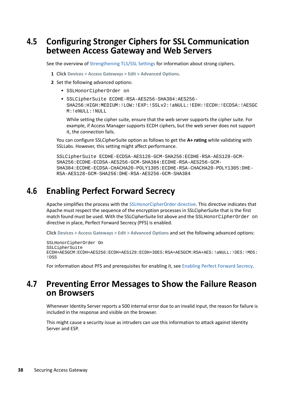## **4.5 Configuring Stronger Ciphers for SSL Communication between Access Gateway and Web Servers**

See the overview of [Strengthening TLS/SSL Settings](#page-58-0) for information about strong ciphers.

- <span id="page-37-0"></span>**1** Click **Devices > Access Gateways > Edit > Advanced Options**.
- **2** Set the following advanced options:
	- SSLHonorCipherOrder on
	- SSLCipherSuite ECDHE-RSA-AES256-SHA384:AES256- SHA256:HIGH:MEDIUM:!LOW:!EXP:!SSLv2:!aNULL:!EDH:!ECDH:!ECDSA:!AESGC M:!eNULL:!NULL

While setting the cipher suite, ensure that the web server supports the cipher suite. For example, if Access Manager supports ECDH ciphers, but the web server does not support it, the connection fails.

You can configure SSLCipherSuite option as follows to get the **A+ rating** while validating with SSLLabs. However, this setting might affect performance.

```
SSLCipherSuite ECDHE-ECDSA-AES128-GCM-SHA256:ECDHE-RSA-AES128-GCM-
SHA256:ECDHE-ECDSA-AES256-GCM-SHA384:ECDHE-RSA-AES256-GCM-
SHA384:ECDHE-ECDSA-CHACHA20-POLY1305:ECDHE-RSA-CHACHA20-POLY1305:DHE-
RSA-AES128-GCM-SHA256:DHE-RSA-AES256-GCM-SHA384
```
## **4.6 Enabling Perfect Forward Secrecy**

Apache simplifies the process with the [SSLHonorCipherOrder directive.](http://httpd.apache.org/docs/2.2/mod/mod_ssl.html#sslhonorcipherorder) This directive indicates that Apache must respect the sequence of the encryption processes in SSLCipherSuite that is the first match found must be used. With the SSLCipherSuite list above and the SSLHonorCipherOrder on directive in place, Perfect Forward Secrecy (PFS) is enabled.

Click **Devices > Access Gateways > Edit > Advanced Options** and set the following advanced options:

```
SSLHonorCipherOrder On
SSLCipherSuite 
ECDH+AESGCM:ECDH+AES256:ECDH+AES128:ECDH+3DES:RSA+AESGCM:RSA+AES:!aNULL:!DES:!MD5:
!DSS
```
For information about PFS and prerequisites for enabling it, see [Enabling Perfect Forward Secrecy](#page-59-0).

## **4.7 Preventing Error Messages to Show the Failure Reason on Browsers**

Whenever Identity Server reports a 500 internal error due to an invalid input, the reason for failure is included in the response and visible on the browser.

This might cause a security issue as intruders can use this information to attack against Identity Server and ESP.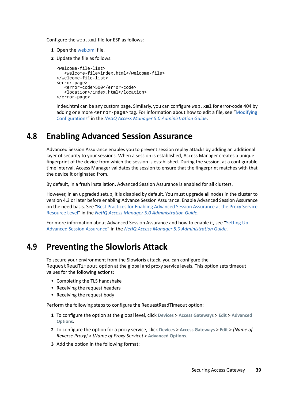Configure the web.xml file for ESP as follows:

- **1** Open the [web.xml](https://www.microfocus.com/documentation/access-manager/5.0/pdfdoc/admin/admin.pdf#web) file.
- **2** Update the file as follows:

```
<welcome-file-list>
    <welcome-file>index.html</welcome-file>
</welcome-file-list>
<error-page>
   <error-code>500</error-code>
    <location>/index.html</location>
</error-page>
```
index.html can be any custom page. Similarly, you can configure web. xml for error-code 404 by adding one more <error-page> tag. For information about how to edit a file, see ["Modifying](https://www.microfocus.com/documentation/access-manager/5.0/pdfdoc/admin/admin.pdf#modconfigfile)  [Configurations"](https://www.microfocus.com/documentation/access-manager/5.0/pdfdoc/admin/admin.pdf#modconfigfile) in the *[NetIQ Access Manager 5.0 Administration Guide](https://www.microfocus.com/documentation/access-manager/5.0/pdfdoc/admin/admin.pdf#bookinfo)*.

## **4.8 Enabling Advanced Session Assurance**

Advanced Session Assurance enables you to prevent session replay attacks by adding an additional layer of security to your sessions. When a session is established, Access Manager creates a unique fingerprint of the device from which the session is established. During the session, at a configurable time interval, Access Manager validates the session to ensure that the fingerprint matches with that the device it originated from.

By default, in a fresh installation, Advanced Session Assurance is enabled for all clusters.

However, in an upgraded setup, it is disabled by default. You must upgrade all nodes in the cluster to version 4.3 or later before enabling Advance Session Assurance. Enable Advanced Session Assurance on the need basis. See "[Best Practices for Enabling Advanced Session Assurance at the Proxy Service](https://www.microfocus.com/documentation/access-manager/5.0/pdfdoc/admin/admin.pdf#bestpracticesagps)  [Resource Level"](https://www.microfocus.com/documentation/access-manager/5.0/pdfdoc/admin/admin.pdf#bestpracticesagps) in the *[NetIQ Access Manager 5.0 Administration Guide](https://www.microfocus.com/documentation/access-manager/5.0/pdfdoc/admin/admin.pdf#bookinfo)*.

For more information about Advanced Session Assurance and how to enable it, see ["Setting Up](https://www.microfocus.com/documentation/access-manager/5.0/pdfdoc/admin/admin.pdf#advsessionassurance)  [Advanced Session Assurance](https://www.microfocus.com/documentation/access-manager/5.0/pdfdoc/admin/admin.pdf#advsessionassurance)" in the *[NetIQ Access Manager 5.0 Administration Guide](https://www.microfocus.com/documentation/access-manager/5.0/pdfdoc/admin/admin.pdf#bookinfo)*.

## **4.9 Preventing the Slowloris Attack**

To secure your environment from the Slowloris attack, you can configure the RequestReadTimeout option at the global and proxy service levels. This option sets timeout values for the following actions:

- Completing the TLS handshake
- Receiving the request headers
- Receiving the request body

Perform the following steps to configure the RequestReadTimeout option:

- **1** To configure the option at the global level, click **Devices** > **Access Gateways** > **Edit** > **Advanced Options**.
- **2** To configure the option for a proxy service, click **Devices** > **Access Gateways** > **Edit** > *[Name of Reverse Proxy]* > *[Name of Proxy Service]* > **Advanced Options**.
- **3** Add the option in the following format: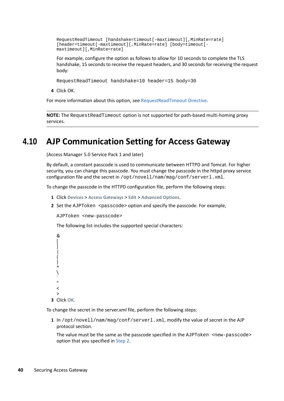RequestReadTimeout [handshake=timeout[-maxtimeout][,MinRate=rate] [header=timeout[-maxtimeout][,MinRate=rate] [body=timeout[ maxtimeout][,MinRate=rate]

For example, configure the option as follows to allow for 10 seconds to complete the TLS handshake, 15 seconds to receive the request headers, and 30 seconds for receiving the request body:

RequestReadTimeout handshake=10 header=15 body=30

**4** Click OK.

For more information about this option, see [RequestReadTimeout Directive.](https://httpd.apache.org/docs/2.4/mod/mod_reqtimeout.html#requestreadtimeout)

**NOTE:** The RequestReadTimeout option is not supported for path-based multi-homing proxy services.

## **4.10 AJP Communication Setting for Access Gateway**

(Access Manager 5.0 Service Pack 1 and later)

By default, a constant passcode is used to communicate between HTTPD and Tomcat. For higher security, you can change this passcode. You must change the passcode in the httpd proxy service configuration file and the secret in /opt/novell/nam/mag/conf/serverl.xml.

To change the passcode in the HTTPD configuration file, perform the following steps:

- **1** Click **Devices** > **Access Gateways** > **Edit** > **Advanced Options**.
- <span id="page-39-0"></span>**2** Set the AJPToken <passcode> option and specify the passcode. For example,

AJPToken <new-passcode>

The following list includes the supported special characters:

&  $\lceil$ ] | { }  $\lambda$ \ ` "  $\prec$ > **3** Click **OK**.

To change the secret in the server.xml file, perform the following steps:

**1** In /opt/novell/nam/mag/conf/serverl.xml, modify the value of secret in the AJP protocol section.

The value must be the same as the passcode specified in the AJPToken <new-passcode> option that you specified in [Step 2](#page-39-0).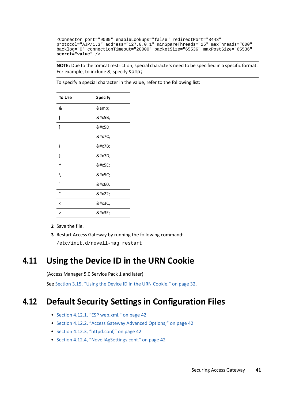```
<Connector port="9009" enableLookups="false" redirectPort="8443" 
protocol="AJP/1.3" address="127.0.0.1" minSpareThreads="25" maxThreads="600" 
backlog="0" connectionTimeout="20000" packetSize="65536" maxPostSize="65536" 
secret="value" />
```
**NOTE:** Due to the tomcat restriction, special characters need to be specified in a specific format. For example, to include  $\&$ , specify  $&$  amp;

| To Use        | <b>Specify</b> |
|---------------|----------------|
| &             | &              |
| [             | [              |
| 1             | ]              |
| I             |                |
| {             | {              |
| $\mathcal{E}$ | }              |
| Λ             | ^              |
| ١             | \              |
|               | `              |
| п             | "              |
| <             | <              |
| $\mathbf{r}$  | >              |

To specify a special character in the value, refer to the following list:

**2** Save the file.

**3** Restart Access Gateway by running the following command:

/etc/init.d/novell-mag restart

## **4.11 Using the Device ID in the URN Cookie**

(Access Manager 5.0 Service Pack 1 and later)

See [Section 3.15, "Using the Device ID in the URN Cookie," on page 32](#page-31-0).

## **4.12 Default Security Settings in Configuration Files**

- [Section 4.12.1, "ESP web.xml," on page 42](#page-41-2)
- [Section 4.12.2, "Access Gateway Advanced Options," on page 42](#page-41-3)
- [Section 4.12.3, "httpd.conf," on page 42](#page-41-0)
- [Section 4.12.4, "NovellAgSettings.conf," on page 42](#page-41-1)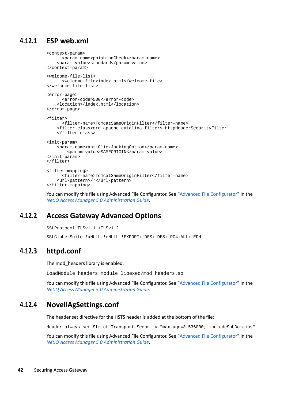## <span id="page-41-2"></span>**4.12.1 ESP web.xml**

```
<context-param>
       <param-name>phishingCheck</param-name>
     <param-value>standard</param-value>
</context-param>
<welcome-file-list>
       <welcome-file>index.html</welcome-file>
</welcome-file-list>
<error-page>
       <error-code>500</error-code>
     <location>/index.html</location>
</error-page>
<filter>
       <filter-name>TomcatSameOriginFilter</filter-name>
     <filter-class>org.apache.catalina.filters.HttpHeaderSecurityFilter
     </filter-class>
<init-param>
     <param-name>antiClickJackingOption</param-name>
         <param-value>SAMEORIGIN</param-value>
</init-param>
</filter>
<filter-mapping>
       <filter-name>TomcatSameOriginFilter</filter-name>
     <url-pattern>/*</url-pattern>
</filter-mapping>
```
You can modify this file using Advanced File Configurator. See "[Advanced File Configurator](https://www.microfocus.com/documentation/access-manager/5.0/pdfdoc/admin/admin.pdf#advancedfileconfigurator)" in the *[NetIQ Access Manager 5.0 Administration Guide](https://www.microfocus.com/documentation/access-manager/5.0/pdfdoc/admin/admin.pdf#bookinfo)*.

#### <span id="page-41-3"></span>**4.12.2 Access Gateway Advanced Options**

SSLProtocol TLSv1.1 +TLSv1.2

SSLCipherSuite !aNULL:!eNULL:!EXPORT:!DSS:!DES:!RC4:ALL:!EDH

#### <span id="page-41-0"></span>**4.12.3 httpd.conf**

The mod headers library is enabled.

LoadModule headers\_module libexec/mod\_headers.so

You can modify this file using Advanced File Configurator. See "[Advanced File Configurator](https://www.microfocus.com/documentation/access-manager/5.0/pdfdoc/admin/admin.pdf#advancedfileconfigurator)" in the *[NetIQ Access Manager 5.0 Administration Guide](https://www.microfocus.com/documentation/access-manager/5.0/pdfdoc/admin/admin.pdf#bookinfo)*.

#### <span id="page-41-1"></span>**4.12.4 NovellAgSettings.conf**

The header set directive for the HSTS header is added at the bottom of the file:

Header always set Strict-Transport-Security "max-age=31536000; includeSubDomains"

You can modify this file using Advanced File Configurator. See "[Advanced File Configurator](https://www.microfocus.com/documentation/access-manager/5.0/pdfdoc/admin/admin.pdf#advancedfileconfigurator)" in the *[NetIQ Access Manager 5.0 Administration Guide](https://www.microfocus.com/documentation/access-manager/5.0/pdfdoc/admin/admin.pdf#bookinfo)*.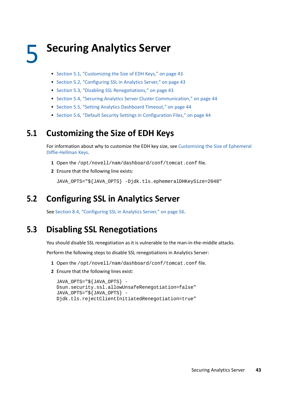# 5 <sup>5</sup> **Securing Analytics Server**

- [Section 5.1, "Customizing the Size of EDH Keys," on page 43](#page-42-0)
- [Section 5.2, "Configuring SSL in Analytics Server," on page 43](#page-42-1)
- [Section 5.3, "Disabling SSL Renegotiations," on page 43](#page-42-2)
- [Section 5.4, "Securing Analytics Server Cluster Communication," on page 44](#page-43-1)
- [Section 5.5, "Setting Analytics Dashboard Timeout," on page 44](#page-43-0)
- <span id="page-42-3"></span>[Section 5.6, "Default Security Settings in Configuration Files," on page 44](#page-43-2)

## <span id="page-42-0"></span>**5.1 Customizing the Size of EDH Keys**

For information about why to customize the EDH key size, see [Customizing the Size of Ephemeral](#page-60-0)  [Diffie-Hellman Keys.](#page-60-0)

- **1** Open the /opt/novell/nam/dashboard/conf/tomcat.conf file.
- **2** Ensure that the following line exists:

<span id="page-42-4"></span>JAVA\_OPTS="\${JAVA\_OPTS} -Djdk.tls.ephemeralDHKeySize=2048"

## <span id="page-42-1"></span>**5.2 Configuring SSL in Analytics Server**

See [Section 8.4, "Configuring SSL in Analytics Server," on page 56](#page-55-0).

## <span id="page-42-2"></span>**5.3 Disabling SSL Renegotiations**

You should disable SSL renegotiation as it is vulnerable to the man-in-the-middle attacks.

Perform the following steps to disable SSL renegotiations in Analytics Server:

- **1** Open the /opt/novell/nam/dashboard/conf/tomcat.conf file.
- **2** Ensure that the following lines exist:

```
JAVA_OPTS="${JAVA_OPTS} -
Dsun.security.ssl.allowUnsafeRenegotiation=false"
JAVA_OPTS="${JAVA_OPTS} -
Djdk.tls.rejectClientInitiatedRenegotiation=true"
```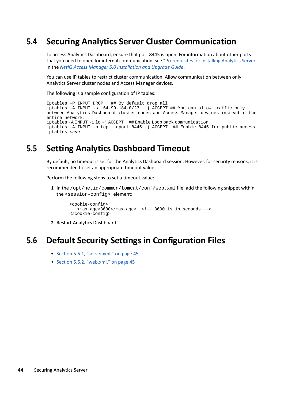## <span id="page-43-1"></span>**5.4 Securing Analytics Server Cluster Communication**

To access Analytics Dashboard, ensure that port 8445 is open. For information about other ports that you need to open for internal communication, see "[Prerequisites for Installing Analytics Server"](https://www.microfocus.com/documentation/access-manager/5.0/pdfdoc/install_upgrade/install_upgrade.pdf#prereqinstallas) in the *[NetIQ Access Manager 5.0 Installation and Upgrade Guide](https://www.microfocus.com/documentation/access-manager/5.0/pdfdoc/install_upgrade/install_upgrade.pdf#bookinfo)*.

You can use IP tables to restrict cluster communication. Allow communication between only Analytics Server cluster nodes and Access Manager devices.

The following is a sample configuration of IP tables:

```
Iptables -P INPUT DROP ## By default drop all 
iptables -A INPUT -s 164.99.184.0/23 -j ACCEPT ## You can allow traffic only 
between Analytics Dashboard cluster nodes and Access Manager devices instead of the 
entire network. 
iptables -A INPUT -i lo -j ACCEPT ## Enable Loop back communication 
iptables -A INPUT -p tcp --dport 8445 -j ACCEPT ## Enable 8445 for public access
iptables-save
```
## <span id="page-43-0"></span>**5.5 Setting Analytics Dashboard Timeout**

By default, no timeout is set for the Analytics Dashboard session. However, for security reasons, it is recommended to set an appropriate timeout value.

Perform the following steps to set a timeout value:

**1** In the /opt/netiq/common/tomcat/conf/web.xml file, add the following snippet within the <session-config> element:

```
 <cookie-config>
   <max-aqe>3600</max-aqe> <!-- 3600 is in seconds -->
 </cookie-config>
```
**2** Restart Analytics Dashboard.

## <span id="page-43-2"></span>**5.6 Default Security Settings in Configuration Files**

- ◆ [Section 5.6.1, "server.xml," on page 45](#page-44-0)
- $\bullet$  [Section 5.6.2, "web.xml," on page 45](#page-44-1)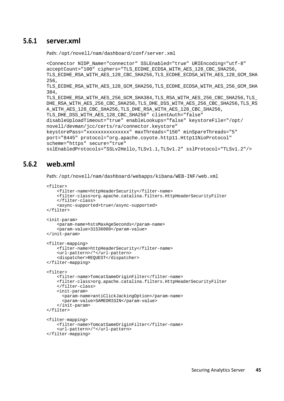#### <span id="page-44-0"></span>**5.6.1 server.xml**

Path: /opt/novell/nam/dashboard/conf/server.xml

<Connector NIDP\_Name="connector" SSLEnabled="true" URIEncoding="utf-8" acceptCount="100" ciphers="TLS\_ECDHE\_ECDSA\_WITH\_AES\_128\_CBC\_SHA256, TLS\_ECDHE\_RSA\_WITH\_AES\_128\_CBC\_SHA256,TLS\_ECDHE\_ECDSA\_WITH\_AES\_128\_GCM\_SHA 256, TLS\_ECDHE\_RSA\_WITH\_AES\_128\_GCM\_SHA256,TLS\_ECDHE\_ECDSA\_WITH\_AES\_256\_GCM\_SHA 384, TLS\_ECDHE\_RSA\_WITH\_AES\_256\_GCM\_SHA384,TLS\_RSA\_WITH\_AES\_256\_CBC\_SHA256,TLS\_ DHE\_RSA\_WITH\_AES\_256\_CBC\_SHA256,TLS\_DHE\_DSS\_WITH\_AES\_256\_CBC\_SHA256,TLS\_RS A\_WITH\_AES\_128\_CBC\_SHA256,TLS\_DHE\_RSA\_WITH\_AES\_128\_CBC\_SHA256, TLS\_DHE\_DSS\_WITH\_AES\_128\_CBC\_SHA256" clientAuth="false" disableUploadTimeout="true" enableLookups="false" keystoreFile="/opt/ novell/devman/jcc/certs/ra/connector.keystore" keystorePass="xxxxxxxxxxxxxxx" maxThreads="150" minSpareThreads="5" port="8445" protocol="org.apache.coyote.http11.Http11NioProtocol" scheme="https" secure="true" sslEnabledProtocols="SSLv2Hello,TLSv1.1,TLSv1.2" sslProtocol="TLSv1.2"/>

#### <span id="page-44-1"></span>**5.6.2 web.xml**

Path: /opt/novell/nam/dashboard/webapps/kibana/WEB-INF/web.xml

```
<filter>
     <filter-name>httpHeaderSecurity</filter-name>
     <filter-class>org.apache.catalina.filters.HttpHeaderSecurityFilter
     </filter-class>
     <async-supported>true</async-supported>
</filter>
<init-param>
     <param-name>hstsMaxAgeSeconds</param-name>
     <param-value>31536000</param-value>
</init-param>
<filter-mapping>
     <filter-name>httpHeaderSecurity</filter-name>
     <url-pattern>/*</url-pattern>
     <dispatcher>REQUEST</dispatcher>
</filter-mapping>
<filter>
     <filter-name>TomcatSameOriginFilter</filter-name>
     <filter-class>org.apache.catalina.filters.HttpHeaderSecurityFilter
     </filter-class>
     <init-param>
       <param-name>antiClickJackingOption</param-name>
       <param-value>SAMEORIGIN</param-value>
     </init-param>
</filter>
<filter-mapping>
     <filter-name>TomcatSameOriginFilter</filter-name>
     <url-pattern>/*</url-pattern>
</filter-mapping>
```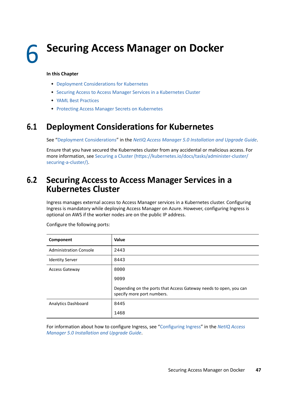## **Securing Access Manager on Docker**

#### **In this Chapter**

- [Deployment Considerations for Kubernetes](#page-46-0)
- **[Securing Access to Access Manager Services in a Kubernetes Cluster](#page-46-1)**
- [YAML Best Practices](#page-47-1)
- **+ [Protecting Access Manager Secrets on Kubernetes](#page-47-0)**

## <span id="page-46-0"></span>**6.1 Deployment Considerations for Kubernetes**

See "[Deployment Considerations](https://www.microfocus.com/documentation/access-manager/5.0/pdfdoc/install_upgrade/install_upgrade.pdf#t4dmusv5pn1a)" in the *[NetIQ Access Manager 5.0 Installation and Upgrade Guide](https://www.microfocus.com/documentation/access-manager/5.0/pdfdoc/install_upgrade/install_upgrade.pdf#bookinfo)*.

Ensure that you have secured the Kubernetes cluster from any accidental or malicious access. For more information, see [Securing a Cluster](https://kubernetes.io/docs/tasks/administer-cluster/securing-a-cluster/) (https://kubernetes.io/docs/tasks/administer-cluster/ securing-a-cluster/).

## <span id="page-46-1"></span>**6.2 Securing Access to Access Manager Services in a Kubernetes Cluster**

Ingress manages external access to Access Manager services in a Kubernetes cluster. Configuring Ingress is mandatory while deploying Access Manager on Azure. However, configuring Ingress is optional on AWS if the worker nodes are on the public IP address.

| Component                     | Value                                                                                           |
|-------------------------------|-------------------------------------------------------------------------------------------------|
| <b>Administration Console</b> | 2443                                                                                            |
| <b>Identity Server</b>        | 8443                                                                                            |
| <b>Access Gateway</b>         | 8000                                                                                            |
|                               | 9099                                                                                            |
|                               | Depending on the ports that Access Gateway needs to open, you can<br>specify more port numbers. |
| <b>Analytics Dashboard</b>    | 8445                                                                                            |
|                               | 1468                                                                                            |

Configure the following ports:

For information about how to configure Ingress, see "[Configuring Ingress](https://www.microfocus.com/documentation/access-manager/5.0/pdfdoc/install_upgrade/install_upgrade.pdf#t4djte7lb5wb)" in the *[NetIQ Access](https://www.microfocus.com/documentation/access-manager/5.0/pdfdoc/install_upgrade/install_upgrade.pdf#bookinfo)  [Manager 5.0 Installation and Upgrade Guide](https://www.microfocus.com/documentation/access-manager/5.0/pdfdoc/install_upgrade/install_upgrade.pdf#bookinfo)*.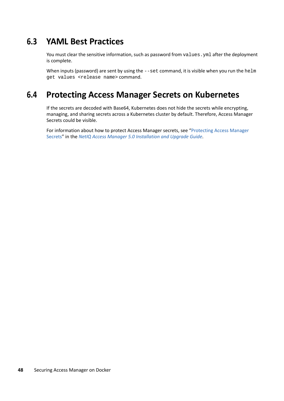## <span id="page-47-1"></span>**6.3 YAML Best Practices**

You must clear the sensitive information, such as password from values. yml after the deployment is complete.

When inputs (password) are sent by using the  $-$ -set command, it is visible when you run the helm get values <release name> command.

## <span id="page-47-0"></span>**6.4 Protecting Access Manager Secrets on Kubernetes**

If the secrets are decoded with Base64, Kubernetes does not hide the secrets while encrypting, managing, and sharing secrets across a Kubernetes cluster by default. Therefore, Access Manager Secrets could be visible.

For information about how to protect Access Manager secrets, see ["Protecting Access Manager](https://www.microfocus.com/documentation/access-manager/5.0/pdfdoc/install_upgrade/install_upgrade.pdf#protectaccessmanagersecrets)  [Secrets"](https://www.microfocus.com/documentation/access-manager/5.0/pdfdoc/install_upgrade/install_upgrade.pdf#protectaccessmanagersecrets) in the *[NetIQ Access Manager 5.0 Installation and Upgrade Guide](https://www.microfocus.com/documentation/access-manager/5.0/pdfdoc/install_upgrade/install_upgrade.pdf#bookinfo)*.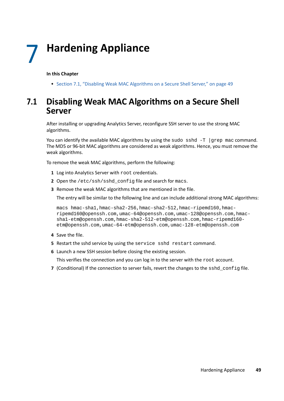#### **In this Chapter**

[Section 7.1, "Disabling Weak MAC Algorithms on a Secure Shell Server," on page 49](#page-48-0)

## <span id="page-48-0"></span>**7.1 Disabling Weak MAC Algorithms on a Secure Shell Server**

After installing or upgrading Analytics Server, reconfigure SSH server to use the strong MAC algorithms.

You can identify the available MAC algorithms by using the sudo sshd  $-T$  |grep mac command. The MD5 or 96-bit MAC algorithms are considered as weak algorithms. Hence, you must remove the weak algorithms.

To remove the weak MAC algorithms, perform the following:

- **1** Log into Analytics Server with root credentials.
- **2** Open the /etc/ssh/sshd\_config file and search for macs.
- **3** Remove the weak MAC algorithms that are mentioned in the file.

The entry will be similar to the following line and can include additional strong MAC algorithms:

macs hmac-sha1,hmac-sha2-256,hmac-sha2-512,hmac-ripemd160,hmacripemd160@openssh.com,umac-64@openssh.com,umac-128@openssh.com,hmacsha1-etm@openssh.com,hmac-sha2-512-etm@openssh.com,hmac-ripemd160 etm@openssh.com,umac-64-etm@openssh.com,umac-128-etm@openssh.com

- **4** Save the file.
- **5** Restart the sshd service by using the service sshd restart command.
- **6** Launch a new SSH session before closing the existing session.

This verifies the connection and you can log in to the server with the root account.

**7** (Conditional) If the connection to server fails, revert the changes to the sshd\_config file.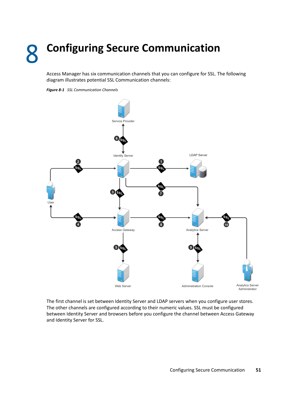# 8 <sup>8</sup>**Configuring Secure Communication**

Access Manager has six communication channels that you can configure for SSL. The following diagram illustrates potential SSL Communication channels:

<span id="page-50-0"></span>



The first channel is set between Identity Server and LDAP servers when you configure user stores. The other channels are configured according to their numeric values. SSL must be configured between Identity Server and browsers before you configure the channel between Access Gateway and Identity Server for SSL.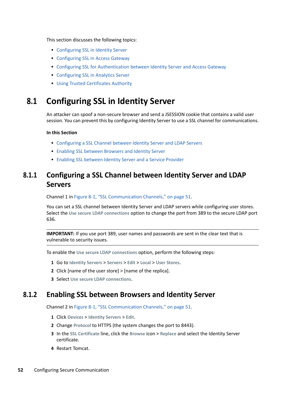This section discusses the following topics:

- [Configuring SSL in Identity Server](#page-51-0)
- [Configuring SSL in Access Gateway](#page-52-0)
- [Configuring SSL for Authentication between Identity Server and Access Gateway](#page-55-1)
- [Configuring SSL in Analytics Server](#page-55-2)
- [Using Trusted Certificates Authority](#page-57-0)

## <span id="page-51-0"></span>**8.1 Configuring SSL in Identity Server**

An attacker can spoof a non-secure browser and send a JSESSION cookie that contains a valid user session. You can prevent this by configuring Identity Server to use a SSL channel for communications.

#### **In this Section**

- [Configuring a SSL Channel between Identity Server and LDAP Servers](#page-51-1)
- [Enabling SSL between Browsers and Identity Server](#page-51-2)
- [Enabling SSL between Identity Server and a Service Provider](#page-52-1)

## <span id="page-51-1"></span>**8.1.1 Configuring a SSL Channel between Identity Server and LDAP Servers**

Channel 1 in [Figure 8-1, "SSL Communication Channels," on page 51](#page-50-0).

You can set a SSL channel between Identity Server and LDAP servers while configuring user stores. Select the **Use secure LDAP connections** option to change the port from 389 to the secure LDAP port 636.

**IMPORTANT:** If you use port 389, user names and passwords are sent in the clear text that is vulnerable to security issues.

To enable the **Use secure LDAP connections** option, perform the following steps:

- **1** Go to **Identity Servers** > **Servers** > **Edit** > **Local** > **User Stores**.
- **2** Click [name of the user store] > [name of the replica].
- **3** Select **Use secure LDAP connections**.

#### <span id="page-51-2"></span>**8.1.2 Enabling SSL between Browsers and Identity Server**

Channel 2 in [Figure 8-1, "SSL Communication Channels," on page 51](#page-50-0).

- **1** Click **Devices** > **Identity Servers** > **Edit**.
- **2** Change **Protocol** to HTTPS (the system changes the port to 8443).
- **3** In the **SSL Certificate** line, click the **Browse** icon > **Replace** and select the Identity Server certificate.
- **4** Restart Tomcat.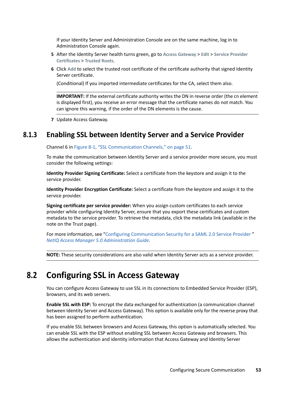If your Identity Server and Administration Console are on the same machine, log in to Administration Console again.

- **5** After the Identity Server health turns green, go to **Access Gateway** > **Edit** > **Service Provider Certificates** > **Trusted Roots**.
- **6** Click **Add** to select the trusted root certificate of the certificate authority that signed Identity Server certificate.

(Conditional) If you imported intermediate certificates for the CA, select them also.

**IMPORTANT:** If the external certificate authority writes the DN in reverse order (the cn element is displayed first), you receive an error message that the certificate names do not match. You can ignore this warning, if the order of the DN elements is the cause.

**7** Update Access Gateway.

#### <span id="page-52-1"></span>**8.1.3 Enabling SSL between Identity Server and a Service Provider**

Channel 6 in [Figure 8-1, "SSL Communication Channels," on page 51](#page-50-0).

To make the communication between Identity Server and a service provider more secure, you must consider the following settings:

**Identity Provider Signing Certificate:** Select a certificate from the keystore and assign it to the service provider.

**Identity Provider Encryption Certificate:** Select a certificate from the keystore and assign it to the service provider.

**Signing certificate per service provider:** When you assign custom certificates to each service provider while configuring Identity Server, ensure that you export these certificates and custom metadata to the service provider. To retrieve the metadata, click the metadata link (available in the note on the Trust page).

For more information, see "[Configuring Communication Security for a SAML 2.0 Service Provider "](https://www.microfocus.com/documentation/access-manager/5.0/pdfdoc/admin/admin.pdf#saml2trustsp) *[NetIQ Access Manager 5.0 Administration Guide](https://www.microfocus.com/documentation/access-manager/5.0/pdfdoc/admin/admin.pdf#bookinfo)*.

**NOTE:** These security considerations are also valid when Identity Server acts as a service provider.

## <span id="page-52-0"></span>**8.2 Configuring SSL in Access Gateway**

You can configure Access Gateway to use SSL in its connections to Embedded Service Provider (ESP), browsers, and its web servers.

**Enable SSL with ESP:** To encrypt the data exchanged for authentication (a communication channel between Identity Server and Access Gateway). This option is available only for the reverse proxy that has been assigned to perform authentication.

If you enable SSL between browsers and Access Gateway, this option is automatically selected. You can enable SSL with the ESP without enabling SSL between Access Gateway and browsers. This allows the authentication and identity information that Access Gateway and Identity Server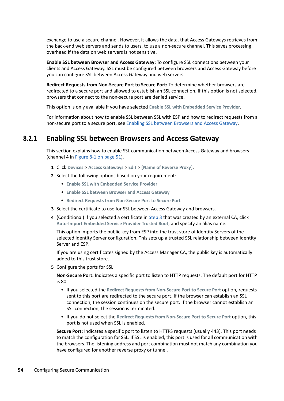exchange to use a secure channel. However, it allows the data, that Access Gateways retrieves from the back-end web servers and sends to users, to use a non-secure channel. This saves processing overhead if the data on web servers is not sensitive.

**Enable SSL between Browser and Access Gateway:** To configure SSL connections between your clients and Access Gateway. SSL must be configured between browsers and Access Gateway before you can configure SSL between Access Gateway and web servers.

**Redirect Requests from Non-Secure Port to Secure Port:** To determine whether browsers are redirected to a secure port and allowed to establish an SSL connection. If this option is not selected, browsers that connect to the non-secure port are denied service.

This option is only available if you have selected **Enable SSL with Embedded Service Provider**.

For information about how to enable SSL between SSL with ESP and how to redirect requests from a non-secure port to a secure port, see [Enabling SSL between Browsers and Access Gateway](#page-53-0).

### <span id="page-53-0"></span>**8.2.1 Enabling SSL between Browsers and Access Gateway**

This section explains how to enable SSL communication between Access Gateway and browsers (channel 4 in [Figure 8-1 on page 51\)](#page-50-0).

- **1** Click **Devices** > **Access Gateways** > **Edit** > **[Name of Reverse Proxy]**.
- **2** Select the following options based on your requirement:
	- **Enable SSL with Embedded Service Provider**
	- **Enable SSL between Browser and Access Gateway**
	- **Redirect Requests from Non-Secure Port to Secure Port**
- <span id="page-53-1"></span>**3** Select the certificate to use for SSL between Access Gateway and browsers.
- **4** (Conditional) If you selected a certificate in [Step 3](#page-53-1) that was created by an external CA, click **Auto-Import Embedded Service Provider Trusted Root**, and specify an alias name.

This option imports the public key from ESP into the trust store of Identity Servers of the selected Identity Server configuration. This sets up a trusted SSL relationship between Identity Server and ESP.

If you are using certificates signed by the Access Manager CA, the public key is automatically added to this trust store.

**5** Configure the ports for SSL:

**Non-Secure Port:** Indicates a specific port to listen to HTTP requests. The default port for HTTP is 80.

- If you selected the **Redirect Requests from Non-Secure Port to Secure Port** option, requests sent to this port are redirected to the secure port. If the browser can establish an SSL connection, the session continues on the secure port. If the browser cannot establish an SSL connection, the session is terminated.
- If you do not select the **Redirect Requests from Non-Secure Port to Secure Port** option, this port is not used when SSL is enabled.

**Secure Port:** Indicates a specific port to listen to HTTPS requests (usually 443). This port needs to match the configuration for SSL. If SSL is enabled, this port is used for all communication with the browsers. The listening address and port combination must not match any combination you have configured for another reverse proxy or tunnel.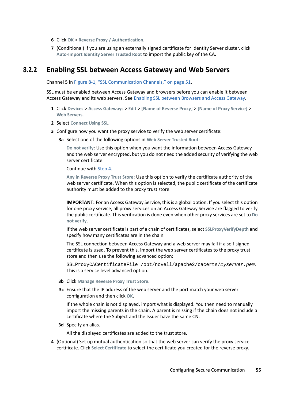- **6** Click **OK** > **Reverse Proxy / Authentication**.
- **7** (Conditional) If you are using an externally signed certificate for Identity Server cluster, click **Auto-Import Identity Server Trusted Root** to import the public key of the CA.

#### **8.2.2 Enabling SSL between Access Gateway and Web Servers**

Channel 5 in [Figure 8-1, "SSL Communication Channels," on page 51](#page-50-0).

SSL must be enabled between Access Gateway and browsers before you can enable it between Access Gateway and its web servers. See [Enabling SSL between Browsers and Access Gateway.](#page-53-0)

- **1** Click **Devices** > **Access Gateways** > **Edit** > **[Name of Reverse Proxy]** > **[Name of Proxy Service]** > **Web Servers**.
- **2** Select **Connect Using SSL**.
- **3** Configure how you want the proxy service to verify the web server certificate:
	- **3a** Select one of the following options in **Web Server Trusted Root**:

**Do not verify**: Use this option when you want the information between Access Gateway and the web server encrypted, but you do not need the added security of verifying the web server certificate.

Continue with Step 4.

**Any in Reverse Proxy Trust Store**: Use this option to verify the certificate authority of the web server certificate. When this option is selected, the public certificate of the certificate authority must be added to the proxy trust store.

**IMPORTANT:** For an Access Gateway Service, this is a global option. If you select this option for one proxy service, all proxy services on an Access Gateway Service are flagged to verify the public certificate. This verification is done even when other proxy services are set to **Do not verify**.

If the web server certificate is part of a chain of certificates, select **SSLProxyVerifyDepth** and specify how many certificates are in the chain.

The SSL connection between Access Gateway and a web server may fail if a self-signed certificate is used. To prevent this, import the web server certificates to the proxy trust store and then use the following advanced option:

SSLProxyCACertificateFile /opt/novell/apache2/cacerts/*myserver.pem*. This is a service level advanced option.

- **3b** Click **Manage Reverse Proxy Trust Store**.
- **3c** Ensure that the IP address of the web server and the port match your web server configuration and then click **OK**.

If the whole chain is not displayed, import what is displayed. You then need to manually import the missing parents in the chain. A parent is missing if the chain does not include a certificate where the Subject and the Issuer have the same CN.

**3d** Specify an alias.

All the displayed certificates are added to the trust store.

**4** (Optional) Set up mutual authentication so that the web server can verify the proxy service certificate. Click **Select Certificate** to select the certificate you created for the reverse proxy.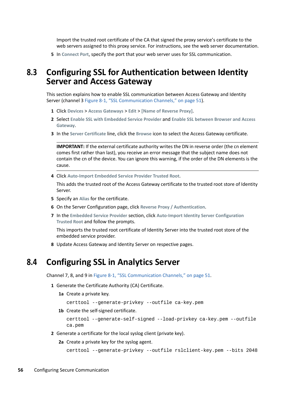Import the trusted root certificate of the CA that signed the proxy service's certificate to the web servers assigned to this proxy service. For instructions, see the web server documentation.

**5** In **Connect Port**, specify the port that your web server uses for SSL communication.

## <span id="page-55-1"></span>**8.3 Configuring SSL for Authentication between Identity Server and Access Gateway**

This section explains how to enable SSL communication between Access Gateway and Identity Server (channel 3 [Figure 8-1, "SSL Communication Channels," on page 51](#page-50-0)).

- **1** Click **Devices** > **Access Gateways** > **Edit** > **[Name of Reverse Proxy]**.
- **2** Select **Enable SSL with Embedded Service Provider** and **Enable SSL between Browser and Access Gateway**.
- **3** In the **Server Certificate** line, click the **Browse** icon to select the Access Gateway certificate.

**IMPORTANT:** If the external certificate authority writes the DN in reverse order (the cn element comes first rather than last), you receive an error message that the subject name does not contain the cn of the device. You can ignore this warning, if the order of the DN elements is the cause.

**4** Click **Auto-Import Embedded Service Provider Trusted Root**.

This adds the trusted root of the Access Gateway certificate to the trusted root store of Identity Server.

- **5** Specify an **Alias** for the certificate.
- **6** On the Server Configuration page, click **Reverse Proxy / Authentication**.
- **7** In the **Embedded Service Provider** section, click **Auto-Import Identity Server Configuration Trusted Root** and follow the prompts.

This imports the trusted root certificate of Identity Server into the trusted root store of the embedded service provider.

**8** Update Access Gateway and Identity Server on respective pages.

## <span id="page-55-2"></span>**8.4 Configuring SSL in Analytics Server**

Channel 7, 8, and 9 in [Figure 8-1, "SSL Communication Channels," on page 51.](#page-50-0)

- **1** Generate the Certificate Authority (CA) Certificate.
	- **1a** Create a private key.

<span id="page-55-0"></span>certtool --generate-privkey --outfile ca-key.pem

**1b** Create the self-signed certificate.

```
certtool --generate-self-signed --load-privkey ca-key.pem --outfile 
ca.pem
```
- **2** Generate a certificate for the local syslog client (private key).
	- **2a** Create a private key for the syslog agent.

```
certtool --generate-privkey --outfile rslclient-key.pem --bits 2048
```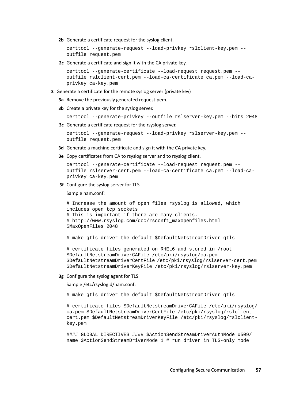**2b** Generate a certificate request for the syslog client.

```
certtool --generate-request --load-privkey rslclient-key.pem --
outfile request.pem
```
**2c** Generate a certificate and sign it with the CA private key.

```
certtool --generate-certificate --load-request request.pem --
outfile rslclient-cert.pem --load-ca-certificate ca.pem --load-ca-
privkey ca-key.pem
```
- **3** Generate a certificate for the remote syslog server (private key)
	- **3a** Remove the previously generated request.pem.
	- **3b** Create a private key for the syslog server.

```
certtool --generate-privkey --outfile rslserver-key.pem --bits 2048
```
**3c** Generate a certificate request for the rsyslog server.

```
certtool --generate-request --load-privkey rslserver-key.pem --
outfile request.pem
```
- **3d** Generate a machine certificate and sign it with the CA private key.
- **3e** Copy certificates from CA to rsyslog server and to rsyslog client.

```
certtool --generate-certificate --load-request request.pem --
outfile rslserver-cert.pem --load-ca-certificate ca.pem --load-ca-
privkey ca-key.pem
```
**3f** Configure the syslog server for TLS.

Sample nam.conf:

```
# Increase the amount of open files rsyslog is allowed, which 
includes open tcp sockets 
# This is important if there are many clients. 
# http://www.rsyslog.com/doc/rsconf1_maxopenfiles.html 
$MaxOpenFiles 2048
```

```
# make gtls driver the default $DefaultNetstreamDriver gtls
```

```
# certificate files generated on RHEL6 and stored in /root 
$DefaultNetstreamDriverCAFile /etc/pki/rsyslog/ca.pem 
$DefaultNetstreamDriverCertFile /etc/pki/rsyslog/rslserver-cert.pem 
$DefaultNetstreamDriverKeyFile /etc/pki/rsyslog/rslserver-key.pem
```
#### **3g** Configure the syslog agent for TLS.

Sample /etc/rsyslog.d/nam.conf:

# make gtls driver the default \$DefaultNetstreamDriver gtls

# certificate files \$DefaultNetstreamDriverCAFile /etc/pki/rsyslog/ ca.pem \$DefaultNetstreamDriverCertFile /etc/pki/rsyslog/rslclientcert.pem \$DefaultNetstreamDriverKeyFile /etc/pki/rsyslog/rslclientkey.pem

#### GLOBAL DIRECTIVES #### \$ActionSendStreamDriverAuthMode x509/ name \$ActionSendStreamDriverMode 1 # run driver in TLS-only mode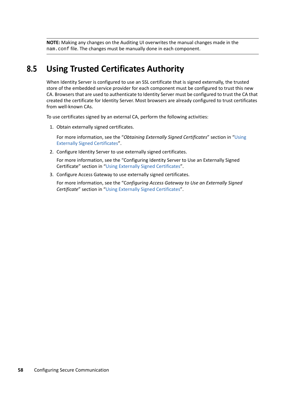**NOTE:** Making any changes on the Auditing UI overwrites the manual changes made in the nam.conf file. The changes must be manually done in each component.

## <span id="page-57-0"></span>**8.5 Using Trusted Certificates Authority**

When Identity Server is configured to use an SSL certificate that is signed externally, the trusted store of the embedded service provider for each component must be configured to trust this new CA. Browsers that are used to authenticate to Identity Server must be configured to trust the CA that created the certificate for Identity Server. Most browsers are already configured to trust certificates from well-known CAs.

To use certificates signed by an external CA, perform the following activities:

1. Obtain externally signed certificates.

For more information, see the "*Obtaining Externally Signed Certificates*" section in "[Using](https://www.microfocus.com/documentation/access-manager/5.0/pdfdoc/admin/admin.pdf#bfgfinn)  [Externally Signed Certificates"](https://www.microfocus.com/documentation/access-manager/5.0/pdfdoc/admin/admin.pdf#bfgfinn).

2. Configure Identity Server to use externally signed certificates.

For more information, see the "Configuring Identity Server to Use an Externally Signed Certificate" section in "[Using Externally Signed Certificates](https://www.microfocus.com/documentation/access-manager/5.0/pdfdoc/admin/admin.pdf#bfgfinn)".

3. Configure Access Gateway to use externally signed certificates.

For more information, see the "C*onfiguring Access Gateway to Use an Externally Signed Certificate*" section in "[Using Externally Signed Certificates"](https://www.microfocus.com/documentation/access-manager/5.0/pdfdoc/admin/admin.pdf#bfgfinn).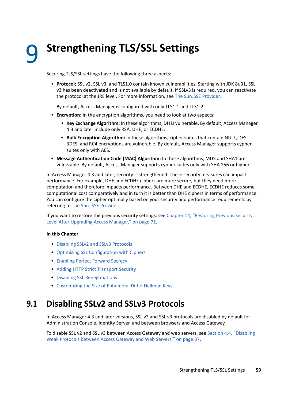<span id="page-58-0"></span><sup>9</sup> **Strengthening TLS/SSL Settings**

Securing TLS/SSL settings have the following three aspects:

 **Protocol:** SSL v2, SSL v3, and TLS1.0 contain known vulnerabilities. Starting with JDK 8u31, SSL v3 has been deactivated and is not available by default. If SSLv3 is required, you can reactivate the protocol at the JRE level. For more information, see [The SunJSSE Provider.](http://docs.oracle.com/javase/8/docs/technotes/guides/security/SunProviders.html#SunJSSEProvider)

By default, Access Manager is configured with only TLS1.1 and TLS1.2.

- **Encryption:** In the encryption algorithms, you need to look at two aspects:
	- **Key Exchange Algorithm:** In these algorithms, DH is vulnerable. By default, Access Manager 4.3 and later include only RSA, DHE, or ECDHE.
	- **Bulk Encryption Algorithm:** In these algorithms, cipher suites that contain NULL, DES, 3DES, and RC4 encryptions are vulnerable. By default, Access Manager supports cypher suites only with AES.
- **Message Authentication Code (MAC) Algorithm:** In these algorithms, MD5 and SHA1 are vulnerable. By default, Access Manager supports cypher suites only with SHA 256 or higher.

In Access Manager 4.3 and later, security is strengthened. These security measures can impact performance. For example, DHE and ECDHE ciphers are more secure, but they need more computation and therefore impacts performance. Between DHE and ECDHE, ECDHE reduces some computational cost comparatively and in turn it is better than DHE ciphers in terms of performance. You can configure the cipher optimally based on your security and performance requirements by referring to [The Sun JSSE Provider.](http://docs.oracle.com/javase/8/docs/technotes/guides/security/SunProviders.html#SunJSSEProvider)

If you want to restore the previous security settings, see [Chapter 14, "Restoring Previous Security](#page-70-0)  [Level After Upgrading Access Manager," on page 71](#page-70-0).

#### **In this Chapter**

9

- [Disabling SSLv2 and SSLv3 Protocols](#page-58-1)
- [Optimizing SSL Configuration with Ciphers](#page-59-1)
- [Enabling Perfect Forward Secrecy](#page-59-2)
- [Adding HTTP Strict Transport Security](#page-59-3)
- [Disabling SSL Renegotiations](#page-60-1)
- [Customizing the Size of Ephemeral Diffie-Hellman Keys](#page-60-2)

## <span id="page-58-1"></span>**9.1 Disabling SSLv2 and SSLv3 Protocols**

In Access Manager 4.3 and later versions, SSL v2 and SSL v3 protocols are disabled by default for Administration Console, Identity Server, and between browsers and Access Gateway.

To disable SSL v2 and SSL v3 between Access Gateway and web servers, see [Section 4.4, "Disabling](#page-36-0)  [Weak Protocols between Access Gateway and Web Servers," on page](#page-36-0) 37.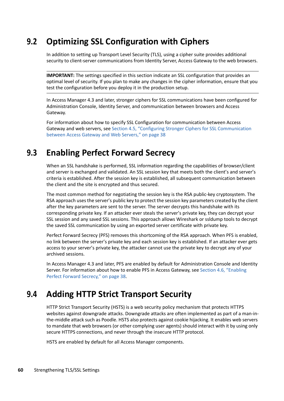## <span id="page-59-1"></span>**9.2 Optimizing SSL Configuration with Ciphers**

In addition to setting up Transport Level Security (TLS), using a cipher suite provides additional security to client-server communications from Identity Server, Access Gateway to the web browsers.

**IMPORTANT:** The settings specified in this section indicate an SSL configuration that provides an optimal level of security. If you plan to make any changes in the cipher information, ensure that you test the configuration before you deploy it in the production setup.

In Access Manager 4.3 and later, stronger ciphers for SSL communications have been configured for Administration Console, Identity Server, and communication between browsers and Access Gateway.

<span id="page-59-0"></span>For information about how to specify SSL Configuration for communication between Access Gateway and web servers, see [Section 4.5, "Configuring Stronger Ciphers for SSL Communication](#page-37-0) [between Access Gateway and Web Servers," on page 38](#page-37-0)

## <span id="page-59-2"></span>**9.3 Enabling Perfect Forward Secrecy**

When an SSL handshake is performed, SSL information regarding the capabilities of browser/client and server is exchanged and validated. An SSL session key that meets both the client's and server's criteria is established. After the session key is established, all subsequent communication between the client and the site is encrypted and thus secured.

The most common method for negotiating the session key is the RSA public-key cryptosystem. The RSA approach uses the server's public key to protect the session key parameters created by the client after the key parameters are sent to the server. The server decrypts this handshake with its corresponding private key. If an attacker ever steals the server's private key, they can decrypt your SSL session and any saved SSL sessions. This approach allows Wireshark or ssldump tools to decrypt the saved SSL communication by using an exported server certificate with private key.

Perfect Forward Secrecy (PFS) removes this shortcoming of the RSA approach. When PFS is enabled, no link between the server's private key and each session key is established. If an attacker ever gets access to your server's private key, the attacker cannot use the private key to decrypt any of your archived sessions.

In Access Manager 4.3 and later, PFS are enabled by default for Administration Console and Identity Server. For information about how to enable PFS in Access Gateway, see [Section 4.6, "Enabling](#page-37-1)  [Perfect Forward Secrecy," on page 38](#page-37-1).

## <span id="page-59-3"></span>**9.4 Adding HTTP Strict Transport Security**

HTTP Strict Transport Security (HSTS) is a web security policy mechanism that protects HTTPS websites against downgrade attacks. Downgrade attacks are often implemented as part of a man-inthe-middle attack such as Poodle. HSTS also protects against cookie hijacking. It enables web servers to mandate that web browsers (or other complying user agents) should interact with it by using only secure HTTPS connections, and never through the insecure HTTP protocol.

HSTS are enabled by default for all Access Manager components.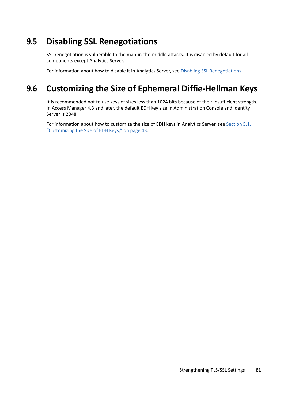## <span id="page-60-1"></span>**9.5 Disabling SSL Renegotiations**

SSL renegotiation is vulnerable to the man-in-the-middle attacks. It is disabled by default for all components except Analytics Server.

<span id="page-60-0"></span>For information about how to disable it in Analytics Server, see [Disabling SSL Renegotiations](#page-42-4).

## <span id="page-60-2"></span>**9.6 Customizing the Size of Ephemeral Diffie-Hellman Keys**

It is recommended not to use keys of sizes less than 1024 bits because of their insufficient strength. In Access Manager 4.3 and later, the default EDH key size in Administration Console and Identity Server is 2048.

For information about how to customize the size of EDH keys in Analytics Server, see [Section 5.1,](#page-42-3)  ["Customizing the Size of EDH Keys," on page 43](#page-42-3).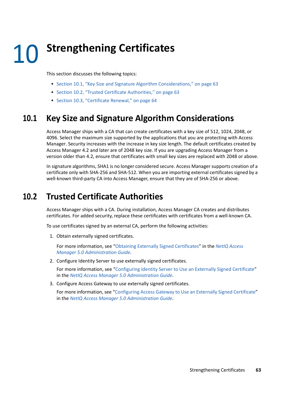# 10 <sup>10</sup>**Strengthening Certificates**

This section discusses the following topics:

- [Section 10.1, "Key Size and Signature Algorithm Considerations," on page 63](#page-62-0)
- [Section 10.2, "Trusted Certificate Authorities," on page 63](#page-62-1)
- [Section 10.3, "Certificate Renewal," on page 64](#page-63-0)

## <span id="page-62-0"></span>**10.1 Key Size and Signature Algorithm Considerations**

Access Manager ships with a CA that can create certificates with a key size of 512, 1024, 2048, or 4096. Select the maximum size supported by the applications that you are protecting with Access Manager. Security increases with the increase in key size length. The default certificates created by Access Manager 4.2 and later are of 2048 key size. If you are upgrading Access Manager from a version older than 4.2, ensure that certificates with small key sizes are replaced with 2048 or above.

In signature algorithms, SHA1 is no longer considered secure. Access Manager supports creation of a certificate only with SHA-256 and SHA-512. When you are importing external certificates signed by a well-known third-party CA into Access Manager, ensure that they are of SHA-256 or above.

## <span id="page-62-1"></span>**10.2 Trusted Certificate Authorities**

Access Manager ships with a CA. During installation, Access Manager CA creates and distributes certificates. For added security, replace these certificates with certificates from a well-known CA.

To use certificates signed by an external CA, perform the following activities:

1. Obtain externally signed certificates.

For more information, see "[Obtaining Externally Signed Certificates](https://www.microfocus.com/documentation/access-manager/5.0/pdfdoc/admin/admin.pdf#beyhr4a)" in the *[NetIQ Access](https://www.microfocus.com/documentation/access-manager/5.0/pdfdoc/admin/admin.pdf#bookinfo)  [Manager 5.0 Administration Guide](https://www.microfocus.com/documentation/access-manager/5.0/pdfdoc/admin/admin.pdf#bookinfo)*.

2. Configure Identity Server to use externally signed certificates.

For more information, see "[Configuring Identity Server to Use an Externally Signed Certificate"](https://www.microfocus.com/documentation/access-manager/5.0/pdfdoc/admin/admin.pdf#b1b2alhe) in the *[NetIQ Access Manager 5.0 Administration Guide](https://www.microfocus.com/documentation/access-manager/5.0/pdfdoc/admin/admin.pdf#bookinfo)*.

3. Configure Access Gateway to use externally signed certificates.

For more information, see ["Configuring Access Gateway to Use an Externally Signed Certificate"](https://www.microfocus.com/documentation/access-manager/5.0/pdfdoc/admin/admin.pdf#beyi009) in the *[NetIQ Access Manager 5.0 Administration Guide](https://www.microfocus.com/documentation/access-manager/5.0/pdfdoc/admin/admin.pdf#bookinfo)*.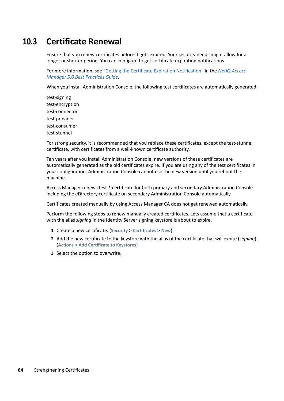## <span id="page-63-0"></span>**10.3 Certificate Renewal**

Ensure that you renew certificates before it gets expired. Your security needs might allow for a longer or shorter period. You can configure to get certificate expiration notifications.

For more information, see "[Getting the Certificate Expiration Notification](https://www.microfocus.com/documentation/access-manager/5.0/pdfdoc/bestpractices/bestpractices.pdf#bzabzrh)" in the *[NetIQ Access](https://www.microfocus.com/documentation/access-manager/5.0/pdfdoc/bestpractices/bestpractices.pdf#bookinfo)  [Manager 5.0 Best Practices Guide](https://www.microfocus.com/documentation/access-manager/5.0/pdfdoc/bestpractices/bestpractices.pdf#bookinfo)*.

When you install Administration Console, the following test certificates are automatically generated:

test-signing test-encryption test-connector test-provider test-consumer test-stunnel

For strong security, it is recommended that you replace these certificates, except the test-stunnel certificate, with certificates from a well-known certificate authority.

Ten years after you install Administration Console, new versions of these certificates are automatically generated as the old certificates expire. If you are using any of the test certificates in your configuration, Administration Console cannot use the new version until you reboot the machine.

Access Manager renews test-\* certificate for both primary and secondary Administration Console including the eDirectory certificate on secondary Administration Console automatically.

Certificates created manually by using Access Manager CA does not get renewed automatically.

Perform the following steps to renew manually created certificates. Lets assume that a certificate with the alias *signing* in the Identity Server signing keystore is about to expire.

- **1** Create a new certificate. (**Security** > **Certificates** > **New**)
- **2** Add the new certificate to the keystore with the alias of the certificate that will expire (*signing*). (**Actions** > **Add Certificate to Keystores**)
- **3** Select the option to overwrite.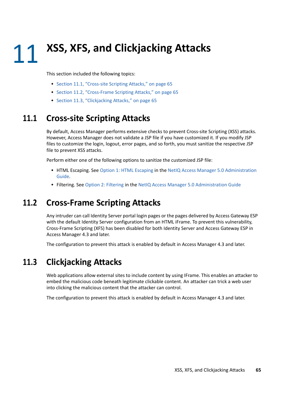This section included the following topics:

- [Section 11.1, "Cross-site Scripting Attacks," on page 65](#page-64-0)
- [Section 11.2, "Cross-Frame Scripting Attacks," on page 65](#page-64-1)
- [Section 11.3, "Clickjacking Attacks," on page 65](#page-64-2)

## <span id="page-64-0"></span>**11.1 Cross-site Scripting Attacks**

By default, Access Manager performs extensive checks to prevent Cross-site Scripting (XSS) attacks. However, Access Manager does not validate a JSP file if you have customized it. If you modify JSP files to customize the login, logout, error pages, and so forth, you must sanitize the respective JSP file to prevent XSS attacks.

Perform either one of the following options to sanitize the customized JSP file:

- HTML Escaping. See [Option 1: HTML Escaping](https://www.microfocus.com/documentation/access-manager/5.0/pdfdoc/admin/admin.pdf#b15in0ck) in the [NetIQ Access Manager 5.0 Administration](https://www.microfocus.com/documentation/access-manager/5.0/pdfdoc/admin/admin.pdf#bookinfo)  [Guide](https://www.microfocus.com/documentation/access-manager/5.0/pdfdoc/admin/admin.pdf#bookinfo).
- Filtering. See [Option 2: Filtering](https://www.microfocus.com/documentation/access-manager/5.0/pdfdoc/admin/admin.pdf#b15in0cl) in the [NetIQ Access Manager 5.0 Administration Guide](https://www.microfocus.com/documentation/access-manager/5.0/pdfdoc/admin/admin.pdf#bookinfo)

## <span id="page-64-1"></span>**11.2 Cross-Frame Scripting Attacks**

Any intruder can call Identity Server portal login pages or the pages delivered by Access Gateway ESP with the default Identity Server configuration from an HTML iFrame. To prevent this vulnerability, Cross-Frame Scripting (XFS) has been disabled for both Identity Server and Access Gateway ESP in Access Manager 4.3 and later.

The configuration to prevent this attack is enabled by default in Access Manager 4.3 and later.

## <span id="page-64-2"></span>**11.3 Clickjacking Attacks**

Web applications allow external sites to include content by using IFrame. This enables an attacker to embed the malicious code beneath legitimate clickable content. An attacker can trick a web user into clicking the malicious content that the attacker can control.

The configuration to prevent this attack is enabled by default in Access Manager 4.3 and later.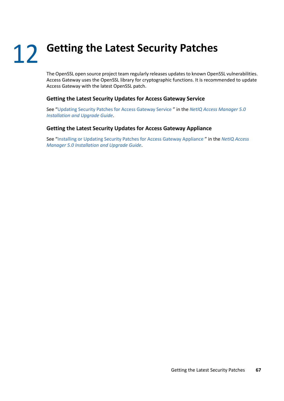## 12 <sup>12</sup>**Getting the Latest Security Patches**

The OpenSSL open source project team regularly releases updates to known OpenSSL vulnerabilities. Access Gateway uses the OpenSSL library for cryptographic functions. It is recommended to update Access Gateway with the latest OpenSSL patch.

#### **Getting the Latest Security Updates for Access Gateway Service**

See "[Updating Security Patches for Access Gateway Service "](https://www.microfocus.com/documentation/access-manager/5.0/pdfdoc/install_upgrade/install_upgrade.pdf#b1ljac6u) in the *[NetIQ Access Manager 5.0](https://www.microfocus.com/documentation/access-manager/5.0/pdfdoc/install_upgrade/install_upgrade.pdf#bookinfo)  [Installation and Upgrade Guide](https://www.microfocus.com/documentation/access-manager/5.0/pdfdoc/install_upgrade/install_upgrade.pdf#bookinfo)*.

#### **Getting the Latest Security Updates for Access Gateway Appliance**

See "[Installing or Updating Security Patches for Access Gateway Appliance](https://www.microfocus.com/documentation/access-manager/5.0/pdfdoc/install_upgrade/install_upgrade.pdf#t4bpctbibk5f) " in the *[NetIQ Access](https://www.microfocus.com/documentation/access-manager/5.0/pdfdoc/install_upgrade/install_upgrade.pdf#bookinfo)  [Manager 5.0 Installation and Upgrade Guide](https://www.microfocus.com/documentation/access-manager/5.0/pdfdoc/install_upgrade/install_upgrade.pdf#bookinfo)*.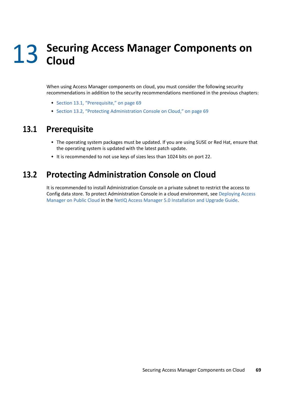# 13 <sup>13</sup>**Securing Access Manager Components on Cloud**

When using Access Manager components on cloud, you must consider the following security recommendations in addition to the security recommendations mentioned in the previous chapters:

- [Section 13.1, "Prerequisite," on page 69](#page-68-0)
- [Section 13.2, "Protecting Administration Console on Cloud," on page 69](#page-68-1)

## <span id="page-68-0"></span>**13.1 Prerequisite**

- The operating system packages must be updated. If you are using SUSE or Red Hat, ensure that the operating system is updated with the latest patch update.
- It is recommended to not use keys of sizes less than 1024 bits on port 22.

## <span id="page-68-1"></span>**13.2 Protecting Administration Console on Cloud**

It is recommended to install Administration Console on a private subnet to restrict the access to Config data store. To protect Administration Console in a cloud environment, see [Deploying Access](https://www.microfocus.com/documentation/access-manager/5.0/pdfdoc/install_upgrade/install_upgrade.pdf#namoncloud)  [Manager on Public Cloud](https://www.microfocus.com/documentation/access-manager/5.0/pdfdoc/install_upgrade/install_upgrade.pdf#namoncloud) in the [NetIQ Access Manager 5.0 Installation and Upgrade Guide](https://www.microfocus.com/documentation/access-manager/5.0/pdfdoc/install_upgrade/install_upgrade.pdf#bookinfo).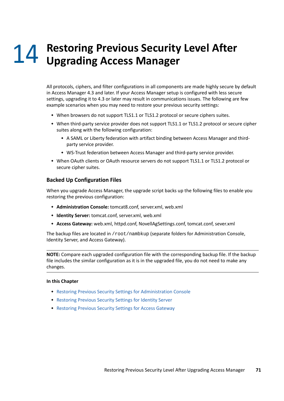# 14 Restoring Previous Security Level After<br>Upgrading Access Manager **Upgrading Access Manager**

<span id="page-70-0"></span>All protocols, ciphers, and filter configurations in all components are made highly secure by default in Access Manager 4.3 and later. If your Access Manager setup is configured with less secure settings, upgrading it to 4.3 or later may result in communications issues. The following are few example scenarios when you may need to restore your previous security settings:

- When browsers do not support TLS1.1 or TLS1.2 protocol or secure ciphers suites.
- When third-party service provider does not support TLS1.1 or TLS1.2 protocol or secure cipher suites along with the following configuration:
	- A SAML or Liberty federation with artifact binding between Access Manager and thirdparty service provider.
	- WS-Trust federation between Access Manager and third-party service provider.
- When OAuth clients or OAuth resource servers do not support TLS1.1 or TLS1.2 protocol or secure cipher suites.

#### **Backed Up Configuration Files**

When you upgrade Access Manager, the upgrade script backs up the following files to enable you restoring the previous configuration:

- **Administration Console:** tomcat8.conf, server.xml, web.xml
- **Identity Server:** tomcat.conf, server.xml, web.xml
- **Access Gateway:** web.xml, httpd.conf, NovellAgSettings.conf, tomcat.conf, sever.xml

The backup files are located in /root/nambkup (separate folders for Administration Console, Identity Server, and Access Gateway).

**NOTE:** Compare each upgraded configuration file with the corresponding backup file. If the backup file includes the similar configuration as it is in the upgraded file, you do not need to make any changes.

#### **In this Chapter**

- [Restoring Previous Security Settings for Administration Console](#page-71-0)
- [Restoring Previous Security Settings for Identity Server](#page-73-0)
- [Restoring Previous Security Settings for Access Gateway](#page-75-0)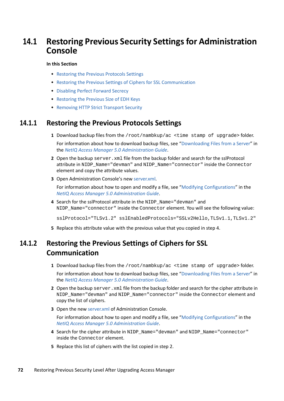## <span id="page-71-0"></span>**14.1 Restoring Previous Security Settings for Administration Console**

#### **In this Section**

- [Restoring the Previous Protocols Settings](#page-71-1)
- [Restoring the Previous Settings of Ciphers for SSL Communication](#page-71-2)
- [Disabling Perfect Forward Secrecy](#page-72-1)
- [Restoring the Previous Size of EDH Keys](#page-72-2)
- [Removing HTTP Strict Transport Security](#page-72-0)

#### <span id="page-71-1"></span>**14.1.1 Restoring the Previous Protocols Settings**

**1** Download backup files from the /root/nambkup/ac <time stamp of upgrade> folder.

For information about how to download backup files, see ["Downloading Files from a Server"](https://www.microfocus.com/documentation/access-manager/5.0/pdfdoc/admin/admin.pdf#downloadserverfile) in the *[NetIQ Access Manager 5.0 Administration Guide](https://www.microfocus.com/documentation/access-manager/5.0/pdfdoc/admin/admin.pdf#bookinfo)*.

- **2** Open the backup server. xml file from the backup folder and search for the sslProtocol attribute in NIDP\_Name="devman" and NIDP\_Name="connector" inside the Connector element and copy the attribute values.
- **3** Open Administration Console's new [server.xml](https://www.microfocus.com/documentation/access-manager/5.0/pdfdoc/admin/admin.pdf#serverxml).

For information about how to open and modify a file, see "[Modifying Configurations"](https://www.microfocus.com/documentation/access-manager/5.0/pdfdoc/admin/admin.pdf#modconfigfile) in the *[NetIQ Access Manager 5.0 Administration Guide](https://www.microfocus.com/documentation/access-manager/5.0/pdfdoc/admin/admin.pdf#bookinfo)*.

**4** Search for the sslProtocol attribute in the NIDP\_Name="devman" and NIDP\_Name="connector" inside the Connector element. You will see the following value:

sslProtocol="TLSv1.2" sslEnabledProtocols="SSLv2Hello,TLSv1.1,TLSv1.2"

**5** Replace this attribute value with the previous value that you copied in step 4.

## <span id="page-71-2"></span>**14.1.2 Restoring the Previous Settings of Ciphers for SSL Communication**

**1** Download backup files from the /root/nambkup/ac <time stamp of upgrade> folder.

For information about how to download backup files, see ["Downloading Files from a Server"](https://www.microfocus.com/documentation/access-manager/5.0/pdfdoc/admin/admin.pdf#downloadserverfile) in the *[NetIQ Access Manager 5.0 Administration Guide](https://www.microfocus.com/documentation/access-manager/5.0/pdfdoc/admin/admin.pdf#bookinfo)*.

- **2** Open the backup server.xml file from the backup folder and search for the cipher attribute in NIDP\_Name="devman" and NIDP\_Name="connector" inside the Connector element and copy the list of ciphers.
- **3** Open the new [server.xml](https://www.microfocus.com/documentation/access-manager/5.0/pdfdoc/admin/admin.pdf#serverxml) of Administration Console.

For information about how to open and modify a file, see "[Modifying Configurations"](https://www.microfocus.com/documentation/access-manager/5.0/pdfdoc/admin/admin.pdf#modconfigfile) in the *[NetIQ Access Manager 5.0 Administration Guide](https://www.microfocus.com/documentation/access-manager/5.0/pdfdoc/admin/admin.pdf#bookinfo)*.

- **4** Search for the cipher attribute in NIDP\_Name="devman" and NIDP\_Name="connector" inside the Connector element.
- **5** Replace this list of ciphers with the list copied in step 2.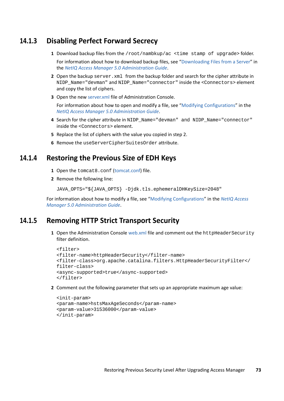### **14.1.3 Disabling Perfect Forward Secrecy**

**1** Download backup files from the /root/nambkup/ac <time stamp of upgrade> folder.

For information about how to download backup files, see ["Downloading Files from a Server"](https://www.microfocus.com/documentation/access-manager/5.0/pdfdoc/admin/admin.pdf#downloadserverfile) in the *[NetIQ Access Manager 5.0 Administration Guide](https://www.microfocus.com/documentation/access-manager/5.0/pdfdoc/admin/admin.pdf#bookinfo)*.

- **2** Open the backup server.xml from the backup folder and search for the cipher attribute in NIDP\_Name="devman" and NIDP\_Name="connector" inside the <Connectors> element and copy the list of ciphers.
- **3** Open the new [server.xml](https://www.microfocus.com/documentation/access-manager/5.0/pdfdoc/admin/admin.pdf#serverxml) file of Administration Console.

For information about how to open and modify a file, see "[Modifying Configurations"](https://www.microfocus.com/documentation/access-manager/5.0/pdfdoc/admin/admin.pdf#modconfigfile) in the *[NetIQ Access Manager 5.0 Administration Guide](https://www.microfocus.com/documentation/access-manager/5.0/pdfdoc/admin/admin.pdf#bookinfo)*.

- **4** Search for the cipher attribute in NIDP\_Name="devman" and NIDP\_Name="connector" inside the <Connectors> element.
- **5** Replace the list of ciphers with the value you copied in step 2.
- **6** Remove the useServerCipherSuitesOrder attribute.

#### **14.1.4 Restoring the Previous Size of EDH Keys**

- 1 Open the tomcat8.conf [\(tomcat.conf](https://www.microfocus.com/documentation/access-manager/5.0/pdfdoc/admin/admin.pdf#tomcatconf)) file.
- **2** Remove the following line:

JAVA\_OPTS="\${JAVA\_OPTS} -Djdk.tls.ephemeralDHKeySize=2048"

For information about how to modify a file, see ["Modifying Configurations"](https://www.microfocus.com/documentation/access-manager/5.0/pdfdoc/admin/admin.pdf#modconfigfile) in the *[NetIQ Access](https://www.microfocus.com/documentation/access-manager/5.0/pdfdoc/admin/admin.pdf#bookinfo)  [Manager 5.0 Administration Guide](https://www.microfocus.com/documentation/access-manager/5.0/pdfdoc/admin/admin.pdf#bookinfo)*.

#### **14.1.5 Removing HTTP Strict Transport Security**

**1** Open the Administration Console [web.xml](https://www.microfocus.com/documentation/access-manager/5.0/pdfdoc/admin/admin.pdf#web) file and comment out the httpHeaderSecurity filter definition.

```
<filter>
<filter-name>httpHeaderSecurity</filter-name>
<filter-class>org.apache.catalina.filters.HttpHeaderSecurityFilter</
filter-class>
<async-supported>true</async-supported>
</filter>
```
**2** Comment out the following parameter that sets up an appropriate maximum age value:

```
<init-param>
<param-name>hstsMaxAgeSeconds</param-name>
<param-value>31536000</param-value>
</init-param>
```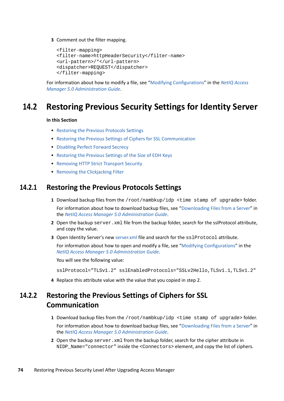**3** Comment out the filter mapping.

```
<filter-mapping>
<filter-name>httpHeaderSecurity</filter-name>
<url-pattern>/*</url-pattern>
<dispatcher>REQUEST</dispatcher>
</filter-mapping>
```
For information about how to modify a file, see ["Modifying Configurations"](https://www.microfocus.com/documentation/access-manager/5.0/pdfdoc/admin/admin.pdf#modconfigfile) in the *[NetIQ Access](https://www.microfocus.com/documentation/access-manager/5.0/pdfdoc/admin/admin.pdf#bookinfo)  [Manager 5.0 Administration Guide](https://www.microfocus.com/documentation/access-manager/5.0/pdfdoc/admin/admin.pdf#bookinfo)*.

# **14.2 Restoring Previous Security Settings for Identity Server**

#### **In this Section**

- [Restoring the Previous Protocols Settings](#page-73-0)
- [Restoring the Previous Settings of Ciphers for SSL Communication](#page-73-1)
- [Disabling Perfect Forward Secrecy](#page-74-0)
- [Restoring the Previous Settings of the Size of EDH Keys](#page-74-1)
- **\*** [Removing HTTP Strict Transport Security](#page-74-2)
- [Removing the Clickjacking Filter](#page-75-0)

#### <span id="page-73-0"></span>**14.2.1 Restoring the Previous Protocols Settings**

- **1** Download backup files from the /root/nambkup/idp <time stamp of upgrade> folder. For information about how to download backup files, see ["Downloading Files from a Server"](https://www.microfocus.com/documentation/access-manager/5.0/pdfdoc/admin/admin.pdf#downloadserverfile) in the *[NetIQ Access Manager 5.0 Administration Guide](https://www.microfocus.com/documentation/access-manager/5.0/pdfdoc/admin/admin.pdf#bookinfo)*.
- **2** Open the backup server. xml file from the backup folder, search for the sslProtocol attribute, and copy the value.
- **3** Open Identity Server's new [server.xml](https://www.microfocus.com/documentation/access-manager/5.0/pdfdoc/admin/admin.pdf#serverxml) file and search for the sslProtocol attribute.

For information about how to open and modify a file, see "[Modifying Configurations"](https://www.microfocus.com/documentation/access-manager/5.0/pdfdoc/admin/admin.pdf#modconfigfile) in the *[NetIQ Access Manager 5.0 Administration Guide](https://www.microfocus.com/documentation/access-manager/5.0/pdfdoc/admin/admin.pdf#bookinfo)*.

You will see the following value:

sslProtocol="TLSv1.2" sslEnabledProtocols="SSLv2Hello,TLSv1.1,TLSv1.2"

**4** Replace this attribute value with the value that you copied in step 2.

## <span id="page-73-1"></span>**14.2.2 Restoring the Previous Settings of Ciphers for SSL Communication**

- **1** Download backup files from the /root/nambkup/idp <time stamp of upgrade> folder. For information about how to download backup files, see ["Downloading Files from a Server"](https://www.microfocus.com/documentation/access-manager/5.0/pdfdoc/admin/admin.pdf#downloadserverfile) in the *[NetIQ Access Manager 5.0 Administration Guide](https://www.microfocus.com/documentation/access-manager/5.0/pdfdoc/admin/admin.pdf#bookinfo)*.
- **2** Open the backup server.xml from the backup folder, search for the cipher attribute in NIDP\_Name="connector" inside the <Connectors> element, and copy the list of ciphers.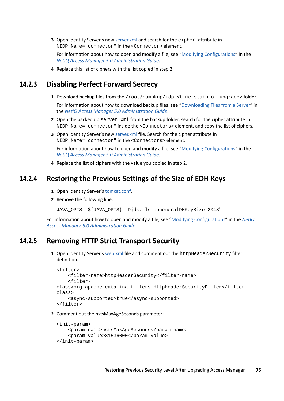**3** Open Identity Server's new [server.xml](https://www.microfocus.com/documentation/access-manager/5.0/pdfdoc/admin/admin.pdf#serverxml) and search for the cipher attribute in NIDP Name="connector" in the <Connector> element.

For information about how to open and modify a file, see "[Modifying Configurations"](https://www.microfocus.com/documentation/access-manager/5.0/pdfdoc/admin/admin.pdf#modconfigfile) in the *[NetIQ Access Manager 5.0 Administration Guide](https://www.microfocus.com/documentation/access-manager/5.0/pdfdoc/admin/admin.pdf#bookinfo)*.

**4** Replace this list of ciphers with the list copied in step 2.

#### <span id="page-74-0"></span>**14.2.3 Disabling Perfect Forward Secrecy**

- **1** Download backup files from the /root/nambkup/idp <time stamp of upgrade> folder. For information about how to download backup files, see ["Downloading Files from a Server"](https://www.microfocus.com/documentation/access-manager/5.0/pdfdoc/admin/admin.pdf#downloadserverfile) in the *[NetIQ Access Manager 5.0 Administration Guide](https://www.microfocus.com/documentation/access-manager/5.0/pdfdoc/admin/admin.pdf#bookinfo)*.
- **2** Open the backed up server.xml from the backup folder, search for the cipher attribute in NIDP\_Name="connector" inside the <Connectors> element, and copy the list of ciphers.
- **3** Open Identity Server's new [server.xml](https://www.microfocus.com/documentation/access-manager/5.0/pdfdoc/admin/admin.pdf#serverxml) file. Search for the cipher attribute in NIDP Name="connector" in the <Connectors> element.

For information about how to open and modify a file, see "[Modifying Configurations"](https://www.microfocus.com/documentation/access-manager/5.0/pdfdoc/admin/admin.pdf#modconfigfile) in the *[NetIQ Access Manager 5.0 Administration Guide](https://www.microfocus.com/documentation/access-manager/5.0/pdfdoc/admin/admin.pdf#bookinfo)*.

**4** Replace the list of ciphers with the value you copied in step 2.

#### <span id="page-74-1"></span>**14.2.4 Restoring the Previous Settings of the Size of EDH Keys**

- **1** Open Identity Server's [tomcat.conf](https://www.microfocus.com/documentation/access-manager/5.0/pdfdoc/admin/admin.pdf#tomcatconf).
- **2** Remove the following line:

JAVA\_OPTS="\${JAVA\_OPTS} -Djdk.tls.ephemeralDHKeySize=2048"

For information about how to open and modify a file, see "[Modifying Configurations](https://www.microfocus.com/documentation/access-manager/5.0/pdfdoc/admin/admin.pdf#modconfigfile)" in the *[NetIQ](https://www.microfocus.com/documentation/access-manager/5.0/pdfdoc/admin/admin.pdf#bookinfo)  [Access Manager 5.0 Administration Guide](https://www.microfocus.com/documentation/access-manager/5.0/pdfdoc/admin/admin.pdf#bookinfo)*.

#### <span id="page-74-2"></span>**14.2.5 Removing HTTP Strict Transport Security**

**1** Open Identity Server's [web.xml](https://www.microfocus.com/documentation/access-manager/5.0/pdfdoc/admin/admin.pdf#web) file and comment out the httpHeaderSecurity filter definition.

```
<filter>
     <filter-name>httpHeaderSecurity</filter-name>
     <filter-
class>org.apache.catalina.filters.HttpHeaderSecurityFilter</filter-
class>
     <async-supported>true</async-supported>
</filter>
```
**2** Comment out the hstsMaxAgeSeconds parameter:

```
<init-param>
     <param-name>hstsMaxAgeSeconds</param-name>
     <param-value>31536000</param-value>
</init-param>
```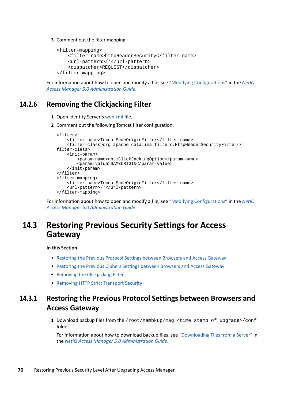**3** Comment out the filter mapping.

```
<filter-mapping>
     <filter-name>httpHeaderSecurity</filter-name>
     <url-pattern>/*</url-pattern>
     <dispatcher>REQUEST</dispatcher>
</filter-mapping>
```
For information about how to open and modify a file, see "[Modifying Configurations](https://www.microfocus.com/documentation/access-manager/5.0/pdfdoc/admin/admin.pdf#modconfigfile)" in the *[NetIQ](https://www.microfocus.com/documentation/access-manager/5.0/pdfdoc/admin/admin.pdf#bookinfo)  [Access Manager 5.0 Administration Guide](https://www.microfocus.com/documentation/access-manager/5.0/pdfdoc/admin/admin.pdf#bookinfo)*.

### <span id="page-75-0"></span>**14.2.6 Removing the Clickjacking Filter**

- **1** Open Identity Server's [web.xml](https://www.microfocus.com/documentation/access-manager/5.0/pdfdoc/admin/admin.pdf#web) file.
- **2** Comment out the following Tomcat filter configuration:

```
<filter>
     <filter-name>TomcatSameOriginFilter</filter-name>
     <filter-class>org.apache.catalina.filters.HttpHeaderSecurityFilter</
filter-class>
     <init-param>
         <param-name>antiClickJackingOption</param-name>
         <param-value>SAMEORIGIN</param-value>
     </init-param>
</filter>
<filter-mapping>
     <filter-name>TomcatSameOriginFilter</filter-name>
     <url-pattern>/*</url-pattern>
</filter-mapping>
```
For information about how to open and modify a file, see "[Modifying Configurations](https://www.microfocus.com/documentation/access-manager/5.0/pdfdoc/admin/admin.pdf#modconfigfile)" in the *[NetIQ](https://www.microfocus.com/documentation/access-manager/5.0/pdfdoc/admin/admin.pdf#bookinfo)  [Access Manager 5.0 Administration Guide](https://www.microfocus.com/documentation/access-manager/5.0/pdfdoc/admin/admin.pdf#bookinfo)*.

# **14.3 Restoring Previous Security Settings for Access Gateway**

#### **In this Section**

- [Restoring the Previous Protocol Settings between Browsers and Access Gateway](#page-75-1)
- [Restoring the Previous Ciphers Settings between Browsers and Access Gateway](#page-76-0)
- [Removing the Clickjacking Filter](#page-76-1)
- **[Removing HTTP Strict Transport Security](#page-77-0)**

## <span id="page-75-1"></span>**14.3.1 Restoring the Previous Protocol Settings between Browsers and Access Gateway**

**1** Download backup files from the /root/nambkup/mag <time stamp of upgrade>/conf folder.

For information about how to download backup files, see ["Downloading Files from a Server"](https://www.microfocus.com/documentation/access-manager/5.0/pdfdoc/admin/admin.pdf#downloadserverfile) in the *[NetIQ Access Manager 5.0 Administration Guide](https://www.microfocus.com/documentation/access-manager/5.0/pdfdoc/admin/admin.pdf#bookinfo)*.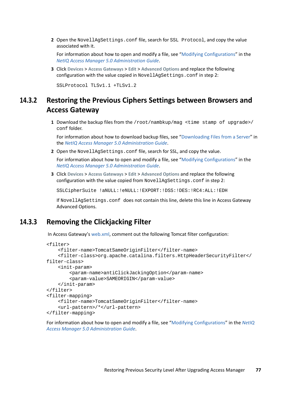**2** Open the NovellAgSettings.conf file, search for SSL Protocol, and copy the value associated with it.

For information about how to open and modify a file, see "[Modifying Configurations"](https://www.microfocus.com/documentation/access-manager/5.0/pdfdoc/admin/admin.pdf#modconfigfile) in the *[NetIQ Access Manager 5.0 Administration Guide](https://www.microfocus.com/documentation/access-manager/5.0/pdfdoc/admin/admin.pdf#bookinfo)*.

**3** Click **Devices** > **Access Gateways** > **Edit** > **Advanced Options** and replace the following configuration with the value copied in NovellAgSettings.conf in step 2:

SSLProtocol TLSv1.1 +TLSv1.2

## <span id="page-76-0"></span>**14.3.2 Restoring the Previous Ciphers Settings between Browsers and Access Gateway**

**1** Download the backup files from the /root/nambkup/mag <time stamp of upgrade>/ conf folder.

For information about how to download backup files, see ["Downloading Files from a Server"](https://www.microfocus.com/documentation/access-manager/5.0/pdfdoc/admin/admin.pdf#downloadserverfile) in the *[NetIQ Access Manager 5.0 Administration Guide](https://www.microfocus.com/documentation/access-manager/5.0/pdfdoc/admin/admin.pdf#bookinfo)*.

**2** Open the NovellAgSettings.conf file, search for SSL, and copy the value.

For information about how to open and modify a file, see "[Modifying Configurations"](https://www.microfocus.com/documentation/access-manager/5.0/pdfdoc/admin/admin.pdf#modconfigfile) in the *[NetIQ Access Manager 5.0 Administration Guide](https://www.microfocus.com/documentation/access-manager/5.0/pdfdoc/admin/admin.pdf#bookinfo)*.

**3** Click **Devices** > **Access Gateways** > **Edit** > **Advanced Options** and replace the following configuration with the value copied from NovellAgSettings.conf in step 2:

SSLCipherSuite !aNULL:!eNULL:!EXPORT:!DSS:!DES:!RC4:ALL:!EDH

If NovellAgSettings.conf does not contain this line, delete this line in Access Gateway Advanced Options.

#### <span id="page-76-1"></span>**14.3.3 Removing the Clickjacking Filter**

In Access Gateway's [web.xml,](https://www.microfocus.com/documentation/access-manager/5.0/pdfdoc/admin/admin.pdf#web) comment out the following Tomcat filter configuration:

```
<filter>
     <filter-name>TomcatSameOriginFilter</filter-name>
     <filter-class>org.apache.catalina.filters.HttpHeaderSecurityFilter</
filter-class>
     <init-param>
         <param-name>antiClickJackingOption</param-name>
         <param-value>SAMEORIGIN</param-value>
     </init-param>
</filter>
<filter-mapping>
     <filter-name>TomcatSameOriginFilter</filter-name>
     <url-pattern>/*</url-pattern>
</filter-mapping>
```
For information about how to open and modify a file, see "[Modifying Configurations](https://www.microfocus.com/documentation/access-manager/5.0/pdfdoc/admin/admin.pdf#modconfigfile)" in the *[NetIQ](https://www.microfocus.com/documentation/access-manager/5.0/pdfdoc/admin/admin.pdf#bookinfo)  [Access Manager 5.0 Administration Guide](https://www.microfocus.com/documentation/access-manager/5.0/pdfdoc/admin/admin.pdf#bookinfo)*.